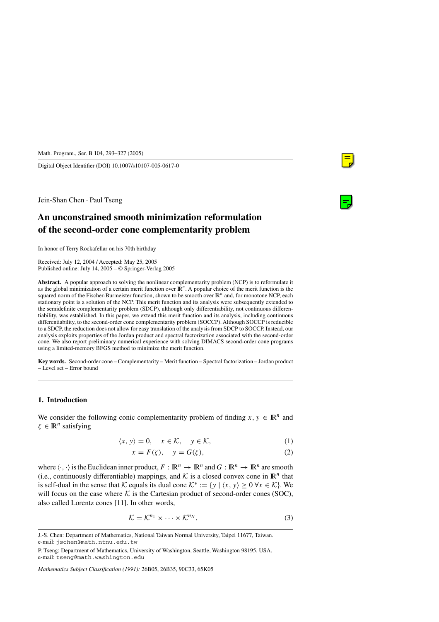Digital Object Identifier (DOI) 10.1007/s10107-005-0617-0

Jein-Shan Chen · Paul Tseng

# **An unconstrained smooth minimization reformulation of the second-order cone complementarity problem**

In honor of Terry Rockafellar on his 70th birthday

Received: July 12, 2004 / Accepted: May 25, 2005 Published online: July 14, 2005 – © Springer-Verlag 2005

**Abstract.** A popular approach to solving the nonlinear complementarity problem (NCP) is to reformulate it as the global minimization of a certain merit function over  $\mathbb{R}^n$ . A popular choice of the merit function is the squared norm of the Fischer-Burmeister function, shown to be smooth over  $\mathbb{R}^n$  and, for monotone NCP, each stationary point is a solution of the NCP. This merit function and its analysis were subsequently extended to the semidefinite complementarity problem (SDCP), although only differentiability, not continuous differentiability, was established. In this paper, we extend this merit function and its analysis, including continuous differentiability, to the second-order cone complementarity problem (SOCCP). Although SOCCP is reducible to a SDCP, the reduction does not allow for easy translation of the analysis from SDCP to SOCCP. Instead, our analysis exploits properties of the Jordan product and spectral factorization associated with the second-order cone. We also report preliminary numerical experience with solving DIMACS second-order cone programs using a limited-memory BFGS method to minimize the merit function.

**Key words.** Second-order cone – Complementarity – Merit function – Spectral factorization – Jordan product – Level set – Error bound

## **1. Introduction**

We consider the following conic complementarity problem of finding  $x, y \in \mathbb{R}^n$  and  $\zeta \in \mathbb{R}^n$  satisfying

$$
\langle x, y \rangle = 0, \quad x \in \mathcal{K}, \quad y \in \mathcal{K}, \tag{1}
$$

$$
x = F(\zeta), \quad y = G(\zeta), \tag{2}
$$

where  $\langle \cdot, \cdot \rangle$  is the Euclidean inner product,  $F : \mathbb{R}^n \to \mathbb{R}^n$  and  $G : \mathbb{R}^n \to \mathbb{R}^n$  are smooth (i.e., continuously differentiable) mappings, and  $K$  is a closed convex cone in  $\mathbb{R}^n$  that is self-dual in the sense that K equals its dual cone  $\mathcal{K}^* := \{y \mid \langle x, y \rangle \ge 0 \,\forall x \in \mathcal{K}\}\.$  We will focus on the case where  $K$  is the Cartesian product of second-order cones (SOC), also called Lorentz cones [11]. In other words,

$$
\mathcal{K} = \mathcal{K}^{n_1} \times \cdots \times \mathcal{K}^{n_N},\tag{3}
$$

*Mathematics Subject Classification (1991):* 26B05, 26B35, 90C33, 65K05

J.-S. Chen: Department of Mathematics, National Taiwan Normal University, Taipei 11677, Taiwan. e-mail: jschen@math.ntnu.edu.tw

P. Tseng: Department of Mathematics, University of Washington, Seattle, Washington 98195, USA. e-mail: tseng@math.washington.edu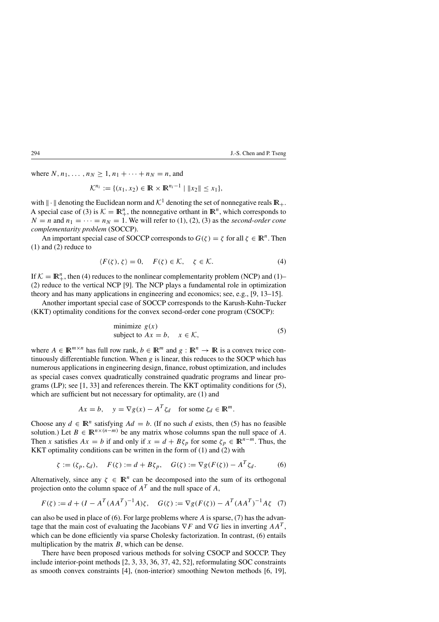where  $N, n_1, ..., n_N \ge 1, n_1 + ... + n_N = n$ , and

$$
\mathcal{K}^{n_i} := \{ (x_1, x_2) \in \mathbb{R} \times \mathbb{R}^{n_i - 1} \mid \|x_2\| \le x_1 \},\
$$

with  $\|\cdot\|$  denoting the Euclidean norm and  $\mathcal{K}^1$  denoting the set of nonnegative reals  $\mathbb{R}_+$ . A special case of (3) is  $K = \mathbb{R}^n_+$ , the nonnegative orthant in  $\mathbb{R}^n$ , which corresponds to  $N = n$  and  $n_1 = \cdots = n_N = 1$ . We will refer to (1), (2), (3) as the *second-order cone complementarity problem* (SOCCP).

An important special case of SOCCP corresponds to  $G(\zeta) = \zeta$  for all  $\zeta \in \mathbb{R}^n$ . Then (1) and (2) reduce to

$$
\langle F(\zeta), \zeta \rangle = 0, \quad F(\zeta) \in \mathcal{K}, \quad \zeta \in \mathcal{K}.
$$
 (4)

If  $K = \mathbb{R}^n_+$ , then (4) reduces to the nonlinear complementarity problem (NCP) and (1)-(2) reduce to the vertical NCP [9]. The NCP plays a fundamental role in optimization theory and has many applications in engineering and economics; see, e.g., [9, 13–15].

Another important special case of SOCCP corresponds to the Karush-Kuhn-Tucker (KKT) optimality conditions for the convex second-order cone program (CSOCP):

minimize 
$$
g(x)
$$
  
subject to  $Ax = b$ ,  $x \in \mathcal{K}$ , (5)

where  $A \in \mathbb{R}^{m \times n}$  has full row rank,  $b \in \mathbb{R}^m$  and  $g : \mathbb{R}^n \to \mathbb{R}$  is a convex twice continuously differentiable function. When  $g$  is linear, this reduces to the SOCP which has numerous applications in engineering design, finance, robust optimization, and includes as special cases convex quadratically constrained quadratic programs and linear programs (LP); see [1, 33] and references therein. The KKT optimality conditions for (5), which are sufficient but not necessary for optimality, are (1) and

$$
Ax = b, \quad y = \nabla g(x) - A^T \zeta_d \quad \text{for some } \zeta_d \in \mathbb{R}^m.
$$

Choose any  $d \in \mathbb{R}^n$  satisfying  $Ad = b$ . (If no such d exists, then (5) has no feasible solution.) Let  $B \in \mathbb{R}^{n \times (n-m)}$  be any matrix whose columns span the null space of A. Then x satisfies  $Ax = b$  if and only if  $x = d + B\zeta_p$  for some  $\zeta_p \in \mathbb{R}^{n-m}$ . Thus, the KKT optimality conditions can be written in the form of (1) and (2) with

$$
\zeta := (\zeta_p, \zeta_d), \quad F(\zeta) := d + B\zeta_p, \quad G(\zeta) := \nabla g(F(\zeta)) - A^T \zeta_d. \tag{6}
$$

Alternatively, since any  $\zeta \in \mathbb{R}^n$  can be decomposed into the sum of its orthogonal projection onto the column space of  $A<sup>T</sup>$  and the null space of A,

$$
F(\zeta) := d + (I - A^T (A A^T)^{-1} A) \zeta, \quad G(\zeta) := \nabla g(F(\zeta)) - A^T (A A^T)^{-1} A \zeta \tag{7}
$$

can also be used in place of (6). For large problems where  $A$  is sparse, (7) has the advantage that the main cost of evaluating the Jacobians  $\nabla F$  and  $\nabla G$  lies in inverting  $AA^T$ , which can be done efficiently via sparse Cholesky factorization. In contrast, (6) entails multiplication by the matrix  $B$ , which can be dense.

There have been proposed various methods for solving CSOCP and SOCCP. They include interior-point methods [2, 3, 33, 36, 37, 42, 52], reformulating SOC constraints as smooth convex constraints [4], (non-interior) smoothing Newton methods [6, 19],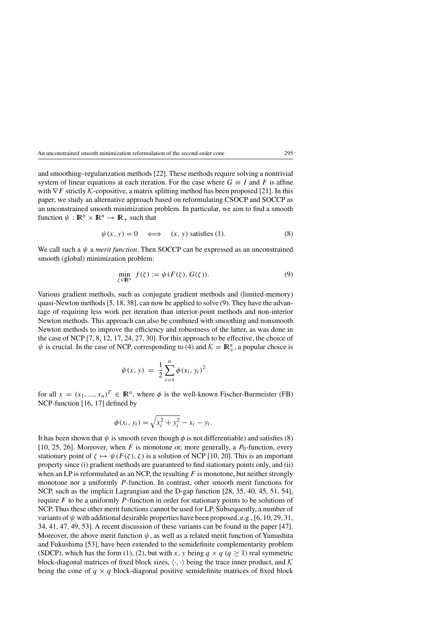and smoothing–regularization methods [22]. These methods require solving a nontrivial system of linear equations at each iteration. For the case where  $G \equiv I$  and F is affine with  $\nabla F$  strictly K-copositive, a matrix splitting method has been proposed [21]. In this paper, we study an alternative approach based on reformulating CSOCP and SOCCP as an unconstrained smooth minimization problem. In particular, we aim to find a smooth function  $\psi : \mathbb{R}^n \times \mathbb{R}^n \to \mathbb{R}_+$  such that

$$
\psi(x, y) = 0 \iff (x, y) \text{ satisfies (1).}
$$
 (8)

We call such a  $\psi$  a *merit function*. Then SOCCP can be expressed as an unconstrained smooth (global) minimization problem:

$$
\min_{\zeta \in \mathbb{R}^n} f(\zeta) := \psi(F(\zeta), G(\zeta)).\tag{9}
$$

Various gradient methods, such as conjugate gradient methods and (limited-memory) quasi-Newton methods [5, 18, 38], can now be applied to solve (9). They have the advantage of requiring less work per iteration than interior-point methods and non-interior Newton methods. This approach can also be combined with smoothing and nonsmooth Newton methods to improve the efficiency and robustness of the latter, as was done in the case of NCP [7, 8, 12, 17, 24, 27, 30]. For this approach to be effective, the choice of  $\psi$  is crucial. In the case of NCP, corresponding to (4) and  $\mathcal{K} = \mathbb{R}^n_+$ , a popular choice is

$$
\psi(x, y) = \frac{1}{2} \sum_{i=1}^{n} \phi(x_i, y_i)^2
$$

for all  $x = (x_1, ..., x_n)^T \in \mathbb{R}^n$ , where  $\phi$  is the well-known Fischer-Burmeister (FB) NCP-function [16, 17] defined by

$$
\phi(x_i, y_i) = \sqrt{x_i^2 + y_i^2} - x_i - y_i.
$$

It has been shown that  $\psi$  is smooth (even though  $\phi$  is not differentiable) and satisfies (8) [10, 25, 26]. Moreover, when F is monotone or, more generally, a  $P_0$ -function, every stationary point of  $\zeta \mapsto \psi(F(\zeta), \zeta)$  is a solution of NCP [10, 20]. This is an important property since (i) gradient methods are guaranteed to find stationary points only, and (ii) when an LP is reformulated as an NCP, the resulting  $F$  is monotone, but neither strongly monotone nor a uniformly P-function. In contrast, other smooth merit functions for NCP, such as the implicit Lagrangian and the D-gap function [28, 35, 40, 45, 51, 54], require  $F$  to be a uniformly P-function in order for stationary points to be solutions of NCP. Thus these other merit functions cannot be used for LP. Subsequently, a number of variants of  $\psi$  with additional desirable properties have been proposed, e.g., [6, 10, 29, 31, 34, 41, 47, 49, 53]. A recent discussion of these variants can be found in the paper [47]. Moreover, the above merit function  $\psi$ , as well as a related merit function of Yamashita and Fukushima [53], have been extended to the semidefinite complementarity problem (SDCP), which has the form (1), (2), but with x, y being  $q \times q$  ( $q \ge 1$ ) real symmetric block-diagonal matrices of fixed block sizes,  $\langle \cdot, \cdot \rangle$  being the trace inner product, and K being the cone of  $q \times q$  block-diagonal positive semidefinite matrices of fixed block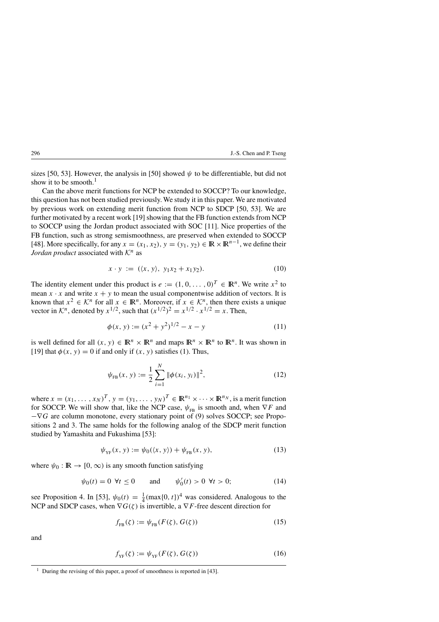sizes [50, 53]. However, the analysis in [50] showed  $\psi$  to be differentiable, but did not show it to be smooth. $<sup>1</sup>$ </sup>

Can the above merit functions for NCP be extended to SOCCP? To our knowledge, this question has not been studied previously. We study it in this paper. We are motivated by previous work on extending merit function from NCP to SDCP [50, 53]. We are further motivated by a recent work [19] showing that the FB function extends from NCP to SOCCP using the Jordan product associated with SOC [11]. Nice properties of the FB function, such as strong semismoothness, are preserved when extended to SOCCP [48]. More specifically, for any  $x = (x_1, x_2), y = (y_1, y_2) \in \mathbb{R} \times \mathbb{R}^{n-1}$ , we define their *Jordan product* associated with  $K<sup>n</sup>$  as

$$
x \cdot y := (\langle x, y \rangle, y_1 x_2 + x_1 y_2). \tag{10}
$$

The identity element under this product is  $e := (1, 0, \dots, 0)^T \in \mathbb{R}^n$ . We write  $x^2$  to mean  $x \cdot x$  and write  $x + y$  to mean the usual componentwise addition of vectors. It is known that  $x^2 \in \mathcal{K}^n$  for all  $x \in \mathbb{R}^n$ . Moreover, if  $x \in \mathcal{K}^n$ , then there exists a unique vector in  $\mathcal{K}^n$ , denoted by  $x^{1/2}$ , such that  $(x^{1/2})^2 = x^{1/2} \cdot x^{1/2} = x$ . Then,

$$
\phi(x, y) := (x^2 + y^2)^{1/2} - x - y \tag{11}
$$

is well defined for all  $(x, y) \in \mathbb{R}^n \times \mathbb{R}^n$  and maps  $\mathbb{R}^n \times \mathbb{R}^n$  to  $\mathbb{R}^n$ . It was shown in [19] that  $\phi(x, y) = 0$  if and only if  $(x, y)$  satisfies (1). Thus,

$$
\psi_{\text{FB}}(x, y) := \frac{1}{2} \sum_{i=1}^{N} \|\phi(x_i, y_i)\|^2,
$$
\n(12)

where  $x = (x_1, \ldots, x_N)^T$ ,  $y = (y_1, \ldots, y_N)^T \in \mathbb{R}^{n_1} \times \cdots \times \mathbb{R}^{n_N}$ , is a merit function for SOCCP. We will show that, like the NCP case,  $\psi_{FB}$  is smooth and, when  $\nabla F$  and  $-\nabla G$  are column monotone, every stationary point of (9) solves SOCCP; see Propositions 2 and 3. The same holds for the following analog of the SDCP merit function studied by Yamashita and Fukushima [53]:

$$
\psi_{\text{YF}}(x, y) := \psi_0(\langle x, y \rangle) + \psi_{\text{FB}}(x, y), \tag{13}
$$

where  $\psi_0 : \mathbb{R} \to [0, \infty)$  is any smooth function satisfying

$$
\psi_0(t) = 0 \ \forall t \le 0
$$
 and  $\psi'_0(t) > 0 \ \forall t > 0;$  (14)

see Proposition 4. In [53],  $\psi_0(t) = \frac{1}{4} (\max\{0, t\})^4$  was considered. Analogous to the NCP and SDCP cases, when  $\nabla G(\zeta)$  is invertible, a  $\nabla F$ -free descent direction for

$$
f_{\text{FB}}(\zeta) := \psi_{\text{FB}}(F(\zeta), G(\zeta)) \tag{15}
$$

and

$$
f_{\rm YF}(\zeta) := \psi_{\rm YF}(F(\zeta), G(\zeta))\tag{16}
$$

<sup>&</sup>lt;sup>1</sup> During the revising of this paper, a proof of smoothness is reported in [43].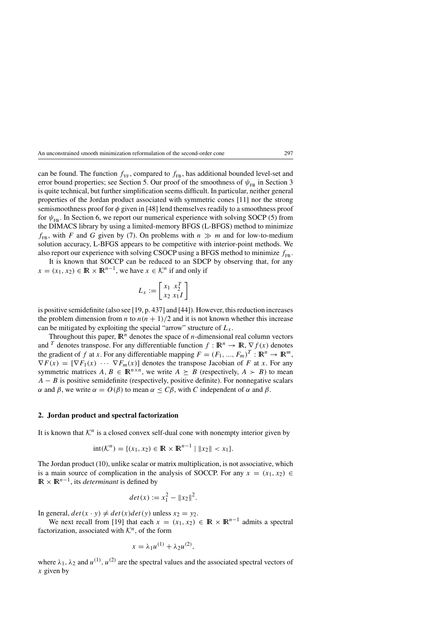can be found. The function  $f_{YF}$ , compared to  $f_{FB}$ , has additional bounded level-set and error bound properties; see Section 5. Our proof of the smoothness of  $\psi_{FB}$  in Section 3 is quite technical, but further simplification seems difficult. In particular, neither general properties of the Jordan product associated with symmetric cones [11] nor the strong semismoothness proof for  $\phi$  given in [48] lend themselves readily to a smoothness proof for  $\psi_{FB}$ . In Section 6, we report our numerical experience with solving SOCP (5) from the DIMACS library by using a limited-memory BFGS (L-BFGS) method to minimize  $f_{\text{FB}}$ , with F and G given by (7). On problems with  $n \gg m$  and for low-to-medium solution accuracy, L-BFGS appears to be competitive with interior-point methods. We also report our experience with solving CSOCP using a BFGS method to minimize  $f_{\text{FB}}$ .

It is known that SOCCP can be reduced to an SDCP by observing that, for any  $x = (x_1, x_2) \in \mathbb{R} \times \mathbb{R}^{n-1}$ , we have  $x \in \mathcal{K}^n$  if and only if

$$
L_x := \begin{bmatrix} x_1 & x_2^T \\ x_2 & x_1 I \end{bmatrix}
$$

is positive semidefinite (also see [19, p. 437] and [44]). However, this reduction increases the problem dimension from *n* to  $n(n + 1)/2$  and it is not known whether this increase can be mitigated by exploiting the special "arrow" structure of  $L<sub>x</sub>$ .

Throughout this paper,  $\mathbb{R}^n$  denotes the space of *n*-dimensional real column vectors and <sup>T</sup> denotes transpose. For any differentiable function  $f : \mathbb{R}^n \to \mathbb{R}, \nabla f(x)$  denotes the gradient of f at x. For any differentiable mapping  $F = (F_1, ..., F_m)^T : \mathbb{R}^n \to \mathbb{R}^m$ ,  $\nabla F(x) = [\nabla F_1(x) \cdots \nabla F_m(x)]$  denotes the transpose Jacobian of F at x. For any symmetric matrices  $A, B \in \mathbb{R}^{n \times n}$ , we write  $A \succeq B$  (respectively,  $A \succ B$ ) to mean  $A - B$  is positive semidefinite (respectively, positive definite). For nonnegative scalars α and β, we write  $\alpha = O(\beta)$  to mean  $\alpha \leq C\beta$ , with C independent of α and β.

#### **2. Jordan product and spectral factorization**

It is known that  $K<sup>n</sup>$  is a closed convex self-dual cone with nonempty interior given by

$$
int(\mathcal{K}^n) = \{ (x_1, x_2) \in \mathbb{R} \times \mathbb{R}^{n-1} \mid ||x_2|| < x_1 \}.
$$

The Jordan product (10), unlike scalar or matrix multiplication, is not associative, which is a main source of complication in the analysis of SOCCP. For any  $x = (x_1, x_2) \in$  $\mathbb{R} \times \mathbb{R}^{n-1}$ , its *determinant* is defined by

$$
det(x) := x_1^2 - ||x_2||^2.
$$

In general,  $det(x \cdot y) \neq det(x)det(y)$  unless  $x_2 = y_2$ .

We next recall from [19] that each  $x = (x_1, x_2) \in \mathbb{R} \times \mathbb{R}^{n-1}$  admits a spectral factorization, associated with  $\mathcal{K}^n$ , of the form

$$
x = \lambda_1 u^{(1)} + \lambda_2 u^{(2)},
$$

where  $\lambda_1$ ,  $\lambda_2$  and  $u^{(1)}$ ,  $u^{(2)}$  are the spectral values and the associated spectral vectors of  $x$  given by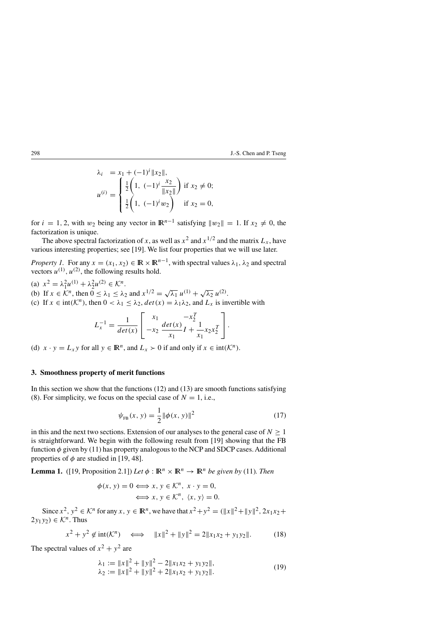$$
\lambda_i = x_1 + (-1)^i \|x_2\|,
$$
  
\n
$$
u^{(i)} = \begin{cases}\n\frac{1}{2} \left( 1, \ (-1)^i \frac{x_2}{\|x_2\|} \right) & \text{if } x_2 \neq 0; \\
\frac{1}{2} \left( 1, \ (-1)^i w_2 \right) & \text{if } x_2 = 0,\n\end{cases}
$$

for  $i = 1, 2$ , with w<sub>2</sub> being any vector in  $\mathbb{R}^{n-1}$  satisfying  $||w_2|| = 1$ . If  $x_2 \neq 0$ , the factorization is unique.

The above spectral factorization of x, as well as  $x^2$  and  $x^{1/2}$  and the matrix  $L_x$ , have various interesting properties; see [19]. We list four properties that we will use later.

*Property 1.* For any  $x = (x_1, x_2) \in \mathbb{R} \times \mathbb{R}^{n-1}$ , with spectral values  $\lambda_1, \lambda_2$  and spectral vectors  $u^{(1)}$ ,  $u^{(2)}$ , the following results hold.

(a)  $x^2 = \lambda_1^2 u^{(1)} + \lambda_2^2 u^{(2)} \in \mathcal{K}^n$ . (a)  $x = \lambda_1 u^{11} + \lambda_2 u^{11} \in \mathbb{R}$ .<br>
(b) If  $x \in \mathbb{R}^n$ , then  $0 \le \lambda_1 \le \lambda_2$  and  $x^{1/2} = \sqrt{\lambda_1} u^{(1)} + \sqrt{\lambda_2} u^{(2)}$ . (c) If  $x \in \text{int}(\mathcal{K}^n)$ , then  $0 < \lambda_1 \leq \lambda_2$ ,  $\det(x) = \lambda_1 \lambda_2$ , and  $L_x$  is invertible with

$$
L_x^{-1} = \frac{1}{\det(x)} \left[ \begin{array}{c} x_1 \\ -x_2 \end{array} \frac{\det(x)}{x_1} \frac{-x_2^T}{I} + \frac{1}{x_1} x_2 x_2^T \right].
$$

(d)  $x \cdot y = L_x y$  for all  $y \in \mathbb{R}^n$ , and  $L_x > 0$  if and only if  $x \in \text{int}(\mathcal{K}^n)$ .

# **3. Smoothness property of merit functions**

In this section we show that the functions  $(12)$  and  $(13)$  are smooth functions satisfying (8). For simplicity, we focus on the special case of  $N = 1$ , i.e.,

$$
\psi_{\text{FB}}(x, y) = \frac{1}{2} ||\phi(x, y)||^2
$$
\n(17)

in this and the next two sections. Extension of our analyses to the general case of  $N \geq 1$ is straightforward. We begin with the following result from [19] showing that the FB function  $\phi$  given by (11) has property analogous to the NCP and SDCP cases. Additional properties of  $\phi$  are studied in [19, 48].

**Lemma 1.** ([19, Proposition 2.1]) *Let*  $\phi : \mathbb{R}^n \times \mathbb{R}^n \to \mathbb{R}^n$  *be given by* (11)*. Then* 

$$
\phi(x, y) = 0 \Longleftrightarrow x, y \in \mathcal{K}^n, x \cdot y = 0,
$$
  

$$
\Longleftrightarrow x, y \in \mathcal{K}^n, \langle x, y \rangle = 0.
$$

Since  $x^2$ ,  $y^2 \in \mathcal{K}^n$  for any  $x, y \in \mathbb{R}^n$ , we have that  $x^2 + y^2 = (\|x\|^2 + \|y\|^2, 2x_1x_2 +$  $(2y_1y_2) \in \mathcal{K}^n$ . Thus

$$
x^{2} + y^{2} \notin \text{int}(\mathcal{K}^{n}) \iff \|x\|^{2} + \|y\|^{2} = 2\|x_{1}x_{2} + y_{1}y_{2}\|.
$$
 (18)

The spectral values of  $x^2 + y^2$  are

$$
\lambda_1 := \|x\|^2 + \|y\|^2 - 2\|x_1x_2 + y_1y_2\|,
$$
  
\n
$$
\lambda_2 := \|x\|^2 + \|y\|^2 + 2\|x_1x_2 + y_1y_2\|.
$$
\n(19)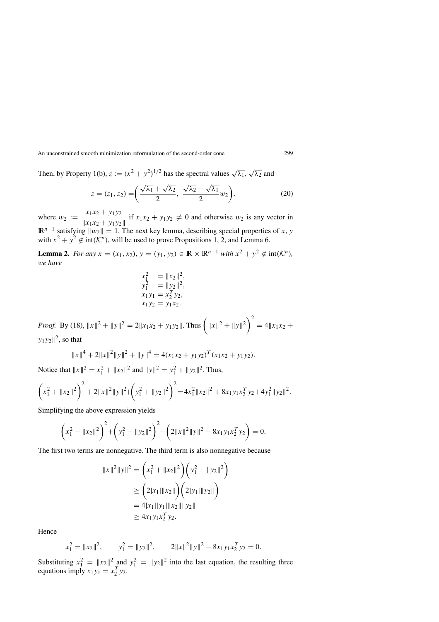Then, by Property 1(b),  $z := (x^2 + y^2)^{1/2}$  has the spectral values  $\sqrt{\lambda_1}$ ,  $\sqrt{\lambda_2}$  and

$$
z = (z_1, z_2) = \left(\frac{\sqrt{\lambda_1} + \sqrt{\lambda_2}}{2}, \frac{\sqrt{\lambda_2} - \sqrt{\lambda_1}}{2}w_2\right),\tag{20}
$$

where  $w_2 := \frac{x_1 x_2 + y_1 y_2}{\|x_1 x_2 + y_1 y_2\|}$  if  $x_1 x_2 + y_1 y_2 \neq 0$  and otherwise  $w_2$  is any vector in  $\mathbb{R}^{n-1}$  satisfying  $||w_2|| = 1$ . The next key lemma, describing special properties of x, y with  $x^2 + y^2 \notin \text{int}(\mathcal{K}^n)$ , will be used to prove Propositions 1, 2, and Lemma 6.

**Lemma 2.** *For any*  $x = (x_1, x_2), y = (y_1, y_2) \in \mathbb{R} \times \mathbb{R}^{n-1}$  *with*  $x^2 + y^2 \notin \text{int}(\mathcal{K}^n)$ *, we have*

$$
x_1^2 = ||x_2||^2,
$$
  
\n
$$
y_1^2 = ||y_2||^2,
$$
  
\n
$$
x_1y_1 = x_2y_2,
$$
  
\n
$$
x_1y_2 = y_1x_2.
$$

*Proof.* By (18),  $||x||^2 + ||y||^2 = 2||x_1x_2 + y_1y_2||$ . Thus  $\left(||x||^2 + ||y||^2\right)^2$  $= 4||x_1x_2 +$  $y_1y_2\|^2$ , so that

$$
||x||4 + 2||x||2 ||y||2 + ||y||4 = 4(x1x2 + y1y2)T (x1x2 + y1y2).
$$

Notice that  $||x||^2 = x_1^2 + ||x_2||^2$  and  $||y||^2 = y_1^2 + ||y_2||^2$ . Thus,

$$
\left(x_1^2 + \|x_2\|^2\right)^2 + 2\|x\|^2\|y\|^2 + \left(y_1^2 + \|y_2\|^2\right)^2 = 4x_1^2\|x_2\|^2 + 8x_1y_1x_2^Ty_2 + 4y_1^2\|y_2\|^2.
$$

Simplifying the above expression yields

$$
\left(x_1^2 - \|x_2\|^2\right)^2 + \left(y_1^2 - \|y_2\|^2\right)^2 + \left(2\|x\|^2\|y\|^2 - 8x_1y_1x_2^Ty_2\right) = 0.
$$

The first two terms are nonnegative. The third term is also nonnegative because

$$
||x||2 ||y||2 = (x12 + ||x2||2) (y12 + ||y2||2)
$$
  
\n
$$
\geq (2|x1||x2||)(2|y1||y2||)
$$
  
\n
$$
= 4|x1||y1||x2||||y2||
$$
  
\n
$$
\geq 4x1y1x2Ty2.
$$

Hence

$$
x_1^2 = ||x_2||^2
$$
,  $y_1^2 = ||y_2||^2$ ,  $2||x||^2||y||^2 - 8x_1y_1x_2^Ty_2 = 0$ .

Substituting  $x_1^2 = ||x_2||^2$  and  $y_1^2 = ||y_2||^2$  into the last equation, the resulting three equations imply  $x_1y_1 = x_2^T y_2$ .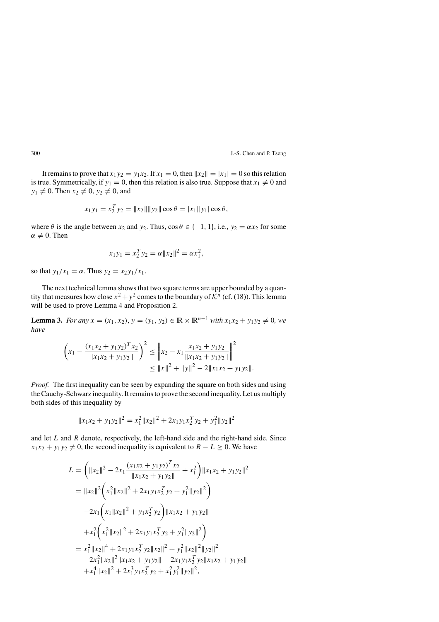It remains to prove that  $x_1y_2 = y_1x_2$ . If  $x_1 = 0$ , then  $||x_2|| = |x_1| = 0$  so this relation is true. Symmetrically, if  $y_1 = 0$ , then this relation is also true. Suppose that  $x_1 \neq 0$  and  $y_1 \neq 0$ . Then  $x_2 \neq 0$ ,  $y_2 \neq 0$ , and

$$
x_1y_1 = x_2^T y_2 = ||x_2|| ||y_2|| \cos \theta = |x_1||y_1| \cos \theta,
$$

where  $\theta$  is the angle between  $x_2$  and  $y_2$ . Thus,  $\cos \theta \in \{-1, 1\}$ , i.e.,  $y_2 = \alpha x_2$  for some  $\alpha \neq 0$ . Then

$$
x_1y_1 = x_2^T y_2 = \alpha ||x_2||^2 = \alpha x_1^2,
$$

so that  $y_1/x_1 = \alpha$ . Thus  $y_2 = x_2y_1/x_1$ .

The next technical lemma shows that two square terms are upper bounded by a quantity that measures how close  $x^2 + y^2$  comes to the boundary of  $\mathcal{K}^n$  (cf. (18)). This lemma will be used to prove Lemma 4 and Proposition 2.

**Lemma 3.** *For any*  $x = (x_1, x_2), y = (y_1, y_2) \in \mathbb{R} \times \mathbb{R}^{n-1}$  *with*  $x_1x_2 + y_1y_2 \neq 0$ *, we have*

$$
\left(x_1 - \frac{(x_1x_2 + y_1y_2)^T x_2}{\|x_1x_2 + y_1y_2\|}\right)^2 \le \|x_2 - x_1\frac{x_1x_2 + y_1y_2}{\|x_1x_2 + y_1y_2\|}\bigg\|^2 \le \|x\|^2 + \|y\|^2 - 2\|x_1x_2 + y_1y_2\|.
$$

*Proof.* The first inequality can be seen by expanding the square on both sides and using the Cauchy-Schwarz inequality. It remains to prove the second inequality. Let us multiply both sides of this inequality by

$$
||x_1x_2 + y_1y_2||^2 = x_1^2 ||x_2||^2 + 2x_1y_1x_2^T y_2 + y_1^2 ||y_2||^2
$$

and let  $L$  and  $R$  denote, respectively, the left-hand side and the right-hand side. Since  $x_1x_2 + y_1y_2 \neq 0$ , the second inequality is equivalent to  $R - L \geq 0$ . We have

$$
L = \left( \|x_2\|^2 - 2x_1 \frac{(x_1x_2 + y_1y_2)^T x_2}{\|x_1x_2 + y_1y_2\|} + x_1^2 \right) \|x_1x_2 + y_1y_2\|^2
$$
  
\n
$$
= \|x_2\|^2 \left( x_1^2 \|x_2\|^2 + 2x_1y_1x_2^T y_2 + y_1^2 \|y_2\|^2 \right)
$$
  
\n
$$
-2x_1 \left( x_1 \|x_2\|^2 + y_1x_2^T y_2 \right) \|x_1x_2 + y_1y_2\|
$$
  
\n
$$
+ x_1^2 \left( x_1^2 \|x_2\|^2 + 2x_1y_1x_2^T y_2 + y_1^2 \|y_2\|^2 \right)
$$
  
\n
$$
= x_1^2 \|x_2\|^4 + 2x_1y_1x_2^T y_2 \|x_2\|^2 + y_1^2 \|x_2\|^2 \|y_2\|^2
$$
  
\n
$$
-2x_1^2 \|x_2\|^2 \|x_1x_2 + y_1y_2\| - 2x_1y_1x_2^T y_2 \|x_1x_2 + y_1y_2\|
$$
  
\n
$$
+ x_1^4 \|x_2\|^2 + 2x_1^3 y_1x_2^T y_2 + x_1^2 y_1^2 \|y_2\|^2,
$$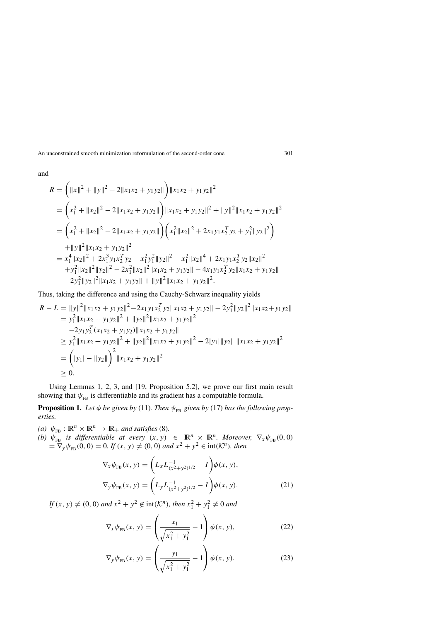and

$$
R = (||x||^2 + ||y||^2 - 2||x_1x_2 + y_1y_2||) ||x_1x_2 + y_1y_2||^2
$$
  
\n
$$
= (x_1^2 + ||x_2||^2 - 2||x_1x_2 + y_1y_2||) ||x_1x_2 + y_1y_2||^2 + ||y||^2 ||x_1x_2 + y_1y_2||^2
$$
  
\n
$$
= (x_1^2 + ||x_2||^2 - 2||x_1x_2 + y_1y_2||) (x_1^2||x_2||^2 + 2x_1y_1x_2^Ty_2 + y_1^2||y_2||^2)
$$
  
\n
$$
+ ||y||^2 ||x_1x_2 + y_1y_2||^2
$$
  
\n
$$
= x_1^4 ||x_2||^2 + 2x_1^3y_1x_2^Ty_2 + x_1^2y_1^2 ||y_2||^2 + x_1^2 ||x_2||^4 + 2x_1y_1x_2^Ty_2 ||x_2||^2
$$
  
\n
$$
+ y_1^2 ||x_2||^2 ||y_2||^2 - 2x_1^2 ||x_2||^2 ||x_1x_2 + y_1y_2|| - 4x_1y_1x_2^Ty_2 ||x_1x_2 + y_1y_2||
$$

Thus, taking the difference and using the Cauchy-Schwarz inequality yields

$$
R - L = ||y||^2 ||x_1x_2 + y_1y_2||^2 - 2x_1y_1x_2^T y_2 ||x_1x_2 + y_1y_2|| - 2y_1^2 ||y_2||^2 ||x_1x_2 + y_1y_2||
$$
  
\n
$$
= y_1^2 ||x_1x_2 + y_1y_2||^2 + ||y_2||^2 ||x_1x_2 + y_1y_2||^2
$$
  
\n
$$
-2y_1y_2^T (x_1x_2 + y_1y_2) ||x_1x_2 + y_1y_2||
$$
  
\n
$$
\ge y_1^2 ||x_1x_2 + y_1y_2||^2 + ||y_2||^2 ||x_1x_2 + y_1y_2||^2 - 2|y_1|| ||y_2|| ||x_1x_2 + y_1y_2||^2
$$
  
\n
$$
= (|y_1| - ||y_2||)^2 ||x_1x_2 + y_1y_2||^2
$$
  
\n
$$
\ge 0.
$$

Using Lemmas 1, 2, 3, and [19, Proposition 5.2], we prove our first main result showing that  $\psi_{FB}$  is differentiable and its gradient has a computable formula.

**Proposition 1.** Let  $\phi$  be given by (11). Then  $\psi_{FB}$  given by (17) has the following prop*erties.*

*(a)*  $\psi_{FB} : \mathbb{R}^n \times \mathbb{R}^n \to \mathbb{R}_+$  *and satisfies* (8). *(b)*  $\psi_{FB}$  *is differentiable at every*  $(x, y) \in \mathbb{R}^n \times \mathbb{R}^n$ *. Moreover,*  $\nabla_x \psi_{FB}(0, 0)$  $=\nabla_y \psi_{FB}(0, 0) = 0$ *. If*  $(x, y) \neq (0, 0)$  *and*  $x^2 + y^2 \in \text{int}(\mathcal{K}^n)$ *, then* 

$$
\nabla_x \psi_{FB}(x, y) = \left( L_x L_{(x^2 + y^2)^{1/2}}^{-1} - I \right) \phi(x, y),
$$
  

$$
\nabla_y \psi_{FB}(x, y) = \left( L_y L_{(x^2 + y^2)^{1/2}}^{-1} - I \right) \phi(x, y).
$$
 (21)

*If*  $(x, y) \neq (0, 0)$  *and*  $x^2 + y^2 \notin \text{int}(\mathcal{K}^n)$ *, then*  $x_1^2 + y_1^2 \neq 0$  *and* 

$$
\nabla_x \psi_{FB}(x, y) = \left(\frac{x_1}{\sqrt{x_1^2 + y_1^2}} - 1\right) \phi(x, y), \tag{22}
$$

$$
\nabla_{\mathbf{y}} \psi_{\text{FB}}(x, y) = \left(\frac{y_1}{\sqrt{x_1^2 + y_1^2}} - 1\right) \phi(x, y). \tag{23}
$$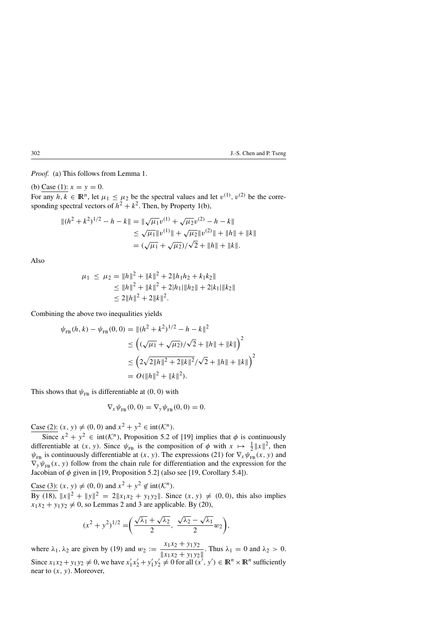*Proof.* (a) This follows from Lemma 1.

(b) Case (1):  $x = y = 0$ . For any  $h, k \in \mathbb{R}^n$ , let  $\mu_1 \leq \mu_2$  be the spectral values and let  $v^{(1)}$ ,  $v^{(2)}$  be the corresponding spectral vectors of  $h^2 + k^2$ . Then, by Property 1(b),

$$
||(h^{2} + k^{2})^{1/2} - h - k|| = ||\sqrt{\mu_{1}}v^{(1)} + \sqrt{\mu_{2}}v^{(2)} - h - k||
$$
  
\n
$$
\leq \sqrt{\mu_{1}}||v^{(1)}|| + \sqrt{\mu_{2}}||v^{(2)}|| + ||h|| + ||k||
$$
  
\n
$$
= (\sqrt{\mu_{1}} + \sqrt{\mu_{2}})/\sqrt{2} + ||h|| + ||k||.
$$

Also

$$
\mu_1 \le \mu_2 = \|h\|^2 + \|k\|^2 + 2\|h_1h_2 + k_1k_2\|
$$
  
\n
$$
\le \|h\|^2 + \|k\|^2 + 2|h_1|\|h_2\| + 2|k_1|\|k_2\|
$$
  
\n
$$
\le 2\|h\|^2 + 2\|k\|^2.
$$

Combining the above two inequalities yields

$$
\psi_{FB}(h, k) - \psi_{FB}(0, 0) = ||(h^2 + k^2)^{1/2} - h - k||^2
$$
  
\n
$$
\leq \left( (\sqrt{\mu_1} + \sqrt{\mu_2}) / \sqrt{2} + ||h|| + ||k|| \right)^2
$$
  
\n
$$
\leq \left( 2\sqrt{2||h||^2 + 2||k||^2} / \sqrt{2} + ||h|| + ||k|| \right)^2
$$
  
\n
$$
= O(||h||^2 + ||k||^2).
$$

This shows that  $\psi_{FB}$  is differentiable at (0, 0) with

$$
\nabla_x \psi_{FB}(0,0) = \nabla_y \psi_{FB}(0,0) = 0.
$$

Case (2):  $(x, y) \neq (0, 0)$  and  $x^2 + y^2 \in \text{int}(\mathcal{K}^n)$ .

Since  $x^2 + y^2 \in \text{int}(\mathcal{K}^n)$ , Proposition 5.2 of [19] implies that  $\phi$  is continuously differentiable at  $(x, y)$ . Since  $\psi_{FB}$  is the composition of  $\phi$  with  $x \mapsto \frac{1}{2} ||x||^2$ , then  $\psi_{FB}$  is continuously differentiable at  $(x, y)$ . The expressions (21) for  $\nabla_x \psi_{FB}^T(x, y)$  and  $\nabla_{y}\psi_{FB}(x, y)$  follow from the chain rule for differentiation and the expression for the Jacobian of  $\phi$  given in [19, Proposition 5.2] (also see [19, Corollary 5.4]).

Case (3):  $(x, y) \neq (0, 0)$  and  $x^2 + y^2 \notin \text{int}(\mathcal{K}^n)$ .

By (18),  $||x||^2 + ||y||^2 = 2||x_1x_2 + y_1y_2||$ . Since  $(x, y) \neq (0, 0)$ , this also implies  $x_1x_2 + y_1y_2 \neq 0$ , so Lemmas 2 and 3 are applicable. By (20),

$$
(x^{2} + y^{2})^{1/2} = \left(\frac{\sqrt{\lambda_{1}} + \sqrt{\lambda_{2}}}{2}, \frac{\sqrt{\lambda_{2}} - \sqrt{\lambda_{1}}}{2}w_{2}\right),
$$

where  $\lambda_1, \lambda_2$  are given by (19) and  $w_2 := \frac{x_1 x_2 + y_1 y_2}{\|x_1 x_2 + y_1 y_2\|}$ . Thus  $\lambda_1 = 0$  and  $\lambda_2 > 0$ . Since  $x_1x_2 + y_1y_2 \neq 0$ , we have  $x'_1x'_2 + y'_1y'_2 \neq 0$  for all  $(x', y') \in \mathbb{R}^n \times \mathbb{R}^n$  sufficiently near to  $(x, y)$ . Moreover,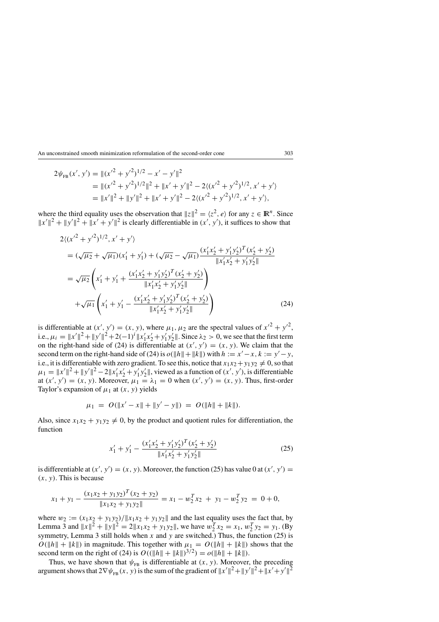$$
2\psi_{\text{FB}}(x', y') = ||(x'^2 + y'^2)^{1/2} - x' - y'||^2
$$
  
=  $||(x'^2 + y'^2)^{1/2}||^2 + ||x' + y'||^2 - 2((x'^2 + y'^2)^{1/2}, x' + y')$   
=  $||x'||^2 + ||y'||^2 + ||x' + y'||^2 - 2((x'^2 + y'^2)^{1/2}, x' + y'),$ 

where the third equality uses the observation that  $||z||^2 = \langle z^2, e \rangle$  for any  $z \in \mathbb{R}^n$ . Since  $||x'||^2 + ||y'||^2 + ||x' + y'||^2$  is clearly differentiable in  $(x', y')$ , it suffices to show that

$$
2\langle (x'^{2} + y'^{2})^{1/2}, x' + y' \rangle
$$
  
=  $(\sqrt{\mu_{2}} + \sqrt{\mu_{1}})(x'_{1} + y'_{1}) + (\sqrt{\mu_{2}} - \sqrt{\mu_{1}}) \frac{(x'_{1}x'_{2} + y'_{1}y'_{2})^{T}(x'_{2} + y'_{2})}{\|x'_{1}x'_{2} + y'_{1}y'_{2}\|}$   
=  $\sqrt{\mu_{2}} \left( x'_{1} + y'_{1} + \frac{(x'_{1}x'_{2} + y'_{1}y'_{2})^{T}(x'_{2} + y'_{2})}{\|x'_{1}x'_{2} + y'_{1}y'_{2}\|}\right)$   
+  $\sqrt{\mu_{1}} \left( x'_{1} + y'_{1} - \frac{(x'_{1}x'_{2} + y'_{1}y'_{2})^{T}(x'_{2} + y'_{2})}{\|x'_{1}x'_{2} + y'_{1}y'_{2}\|}\right)$  (24)

is differentiable at  $(x', y') = (x, y)$ , where  $\mu_1, \mu_2$  are the spectral values of  $x'^2 + y'^2$ , i.e.,  $\mu_i = ||x'||^2 + ||y'||^2 + 2(-1)^i ||x'_1x'_2 + y'_1y'_2||$ . Since  $\lambda_2 > 0$ , we see that the first term on the right-hand side of (24) is differentiable at  $(x', y') = (x, y)$ . We claim that the second term on the right-hand side of (24) is  $o(||h|| + ||k||)$  with  $h := x' - x$ ,  $k := y' - y$ , i.e., it is differentiable with zero gradient. To see this, notice that  $x_1x_2 + y_1y_2 \neq 0$ , so that  $\mu_1 = ||x'||^2 + ||y'||^2 - 2||x'_1x'_2 + y'_1y'_2||$ , viewed as a function of  $(x', y')$ , is differentiable at  $(x', y') = (x, y)$ . Moreover,  $\mu_1 = \lambda_1 = 0$  when  $(x', y') = (x, y)$ . Thus, first-order Taylor's expansion of  $\mu_1$  at  $(x, y)$  yields

$$
\mu_1 = O(\|x' - x\| + \|y' - y\|) = O(\|h\| + \|k\|).
$$

Also, since  $x_1x_2 + y_1y_2 \neq 0$ , by the product and quotient rules for differentiation, the function

$$
x'_1 + y'_1 - \frac{(x'_1 x'_2 + y'_1 y'_2)^T (x'_2 + y'_2)}{\|x'_1 x'_2 + y'_1 y'_2\|}
$$
 (25)

is differentiable at  $(x', y') = (x, y)$ . Moreover, the function (25) has value 0 at  $(x', y') =$  $(x, y)$ . This is because

$$
x_1 + y_1 - \frac{(x_1x_2 + y_1y_2)^T(x_2 + y_2)}{\|x_1x_2 + y_1y_2\|} = x_1 - w_2^Tx_2 + y_1 - w_2^Ty_2 = 0 + 0,
$$

where  $w_2 := (x_1x_2 + y_1y_2)/||x_1x_2 + y_1y_2||$  and the last equality uses the fact that, by Lemma 3 and  $||x||^2 + ||y||^2 = 2||x_1x_2 + y_1y_2||$ , we have  $w_2^T x_2 = x_1, w_2^T y_2 = y_1$ . (By symmetry, Lemma 3 still holds when x and y are switched.) Thus, the function  $(25)$  is  $O(||h|| + ||k||)$  in magnitude. This together with  $\mu_1 = O(||h|| + ||k||)$  shows that the second term on the right of (24) is  $O((\|h\| + \|k\|)^{3/2}) = o(\|h\| + \|k\|).$ 

Thus, we have shown that  $\psi_{FB}$  is differentiable at  $(x, y)$ . Moreover, the preceding argument shows that  $2\nabla \psi_{FB}(x, y)$  is the sum of the gradient of  $||x'||^2 + ||y'||^2 + ||x'+y'||^2$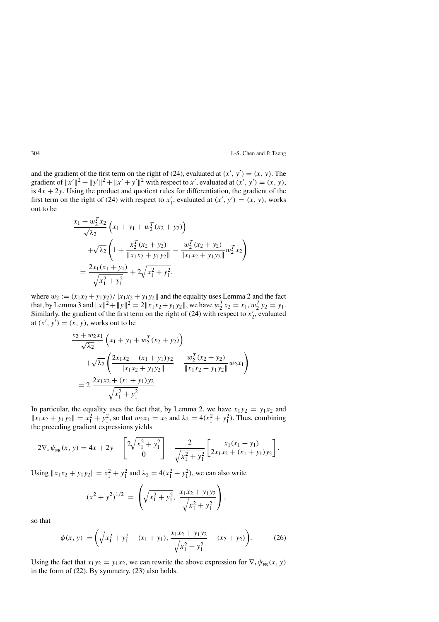and the gradient of the first term on the right of (24), evaluated at  $(x', y') = (x, y)$ . The gradient of  $||x'||^2 + ||y'||^2 + ||x' + y'||^2$  with respect to x', evaluated at  $(x', y') = (x, y)$ , is  $4x + 2y$ . Using the product and quotient rules for differentiation, the gradient of the first term on the right of (24) with respect to  $x'_1$ , evaluated at  $(x', y') = (x, y)$ , works out to be

$$
\frac{x_1 + w_2^T x_2}{\sqrt{\lambda_2}} \left( x_1 + y_1 + w_2^T (x_2 + y_2) \right)
$$
  
+ 
$$
\sqrt{\lambda_2} \left( 1 + \frac{x_2^T (x_2 + y_2)}{\| x_1 x_2 + y_1 y_2 \|} - \frac{w_2^T (x_2 + y_2)}{\| x_1 x_2 + y_1 y_2 \|} w_2^T x_2 \right)
$$
  
= 
$$
\frac{2x_1 (x_1 + y_1)}{\sqrt{x_1^2 + y_1^2}} + 2\sqrt{x_1^2 + y_1^2},
$$

where  $w_2 := (x_1x_2 + y_1y_2)/||x_1x_2 + y_1y_2||$  and the equality uses Lemma 2 and the fact that, by Lemma 3 and  $||x||^2 + ||y||^2 = 2||x_1x_2 + y_1y_2||$ , we have  $w_2^T x_2 = x_1, w_2^T y_2 = y_1$ . Similarly, the gradient of the first term on the right of (24) with respect to  $x'_2$ , evaluated at  $(x', y') = (x, y)$ , works out to be

$$
\frac{x_2 + w_2 x_1}{\sqrt{\lambda_2}} \left( x_1 + y_1 + w_2^T (x_2 + y_2) \right)
$$
  
+  $\sqrt{\lambda_2} \left( \frac{2x_1 x_2 + (x_1 + y_1) y_2}{\| x_1 x_2 + y_1 y_2 \|} - \frac{w_2^T (x_2 + y_2)}{\| x_1 x_2 + y_1 y_2 \|} w_2 x_1 \right)$   
=  $2 \frac{2x_1 x_2 + (x_1 + y_1) y_2}{\sqrt{x_1^2 + y_1^2}}$ .

In particular, the equality uses the fact that, by Lemma 2, we have  $x_1y_2 = y_1x_2$  and  $||x_1x_2 + y_1y_2|| = x_1^2 + y_1^2$ , so that  $w_2x_1 = x_2$  and  $\lambda_2 = 4(x_1^2 + y_1^2)$ . Thus, combining the preceding gradient expressions yields

$$
2\nabla_x \psi_{FB}(x, y) = 4x + 2y - \left[\frac{2\sqrt{x_1^2 + y_1^2}}{0}\right] - \frac{2}{\sqrt{x_1^2 + y_1^2}} \left[2x_1x_2 + (x_1 + y_1)y_2\right].
$$

Using  $||x_1x_2 + y_1y_2|| = x_1^2 + y_1^2$  and  $\lambda_2 = 4(x_1^2 + y_1^2)$ , we can also write

$$
(x^{2} + y^{2})^{1/2} = \left(\sqrt{x_{1}^{2} + y_{1}^{2}}, \frac{x_{1}x_{2} + y_{1}y_{2}}{\sqrt{x_{1}^{2} + y_{1}^{2}}}\right),
$$

so that

$$
\phi(x, y) = \left(\sqrt{x_1^2 + y_1^2} - (x_1 + y_1), \frac{x_1 x_2 + y_1 y_2}{\sqrt{x_1^2 + y_1^2}} - (x_2 + y_2)\right).
$$
 (26)

Using the fact that  $x_1y_2 = y_1x_2$ , we can rewrite the above expression for  $\nabla_x \psi_{FB}(x, y)$ in the form of (22). By symmetry, (23) also holds.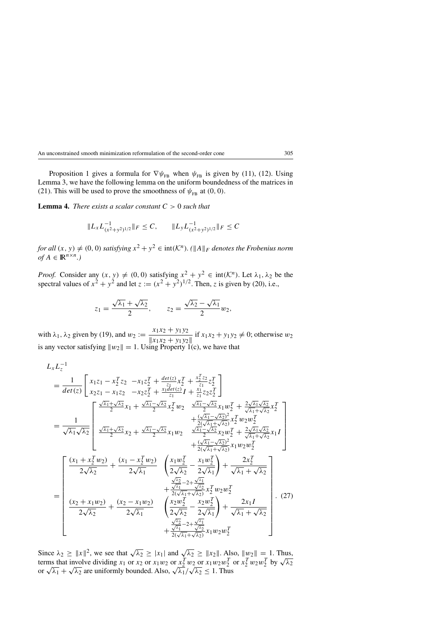Proposition 1 gives a formula for  $\nabla \psi_{FB}$  when  $\psi_{FB}$  is given by (11), (12). Using Lemma 3, we have the following lemma on the uniform boundedness of the matrices in (21). This will be used to prove the smoothness of  $\psi_{FB}$  at (0, 0).

**Lemma 4.** *There exists a scalar constant* C > 0 *such that*

$$
||L_x L_{(x^2+y^2)^{1/2}}^{-1} ||_F \leq C, \qquad ||L_y L_{(x^2+y^2)^{1/2}}^{-1} ||_F \leq C
$$

*for all*  $(x, y) \neq (0, 0)$  *satisfying*  $x^2 + y^2 \in \text{int}(\mathcal{K}^n)$ . ( $||A||_F$  *denotes the Frobenius norm*  $of A \in \mathbb{R}^{n \times n}$ .)

*Proof.* Consider any  $(x, y) \neq (0, 0)$  satisfying  $x^2 + y^2 \in \text{int}(\mathcal{K}^n)$ . Let  $\lambda_1, \lambda_2$  be the spectral values of  $x^2 + y^2$  and let  $z := (x^2 + y^2)^{1/2}$ . Then, z is given by (20), i.e.,

$$
z_1=\frac{\sqrt{\lambda_1}+\sqrt{\lambda_2}}{2}, \qquad z_2=\frac{\sqrt{\lambda_2}-\sqrt{\lambda_1}}{2}w_2,
$$

with  $\lambda_1, \lambda_2$  given by (19), and  $w_2 := \frac{x_1 x_2 + y_1 y_2}{\|x_1 x_2 + y_1 y_2\|}$  if  $x_1 x_2 + y_1 y_2 \neq 0$ ; otherwise  $w_2$ is any vector satisfying  $||w_2|| = 1$ . Using Property 1(c), we have that

$$
L_{x}L_{z}^{-1}
$$
\n
$$
= \frac{1}{det(z)} \left[ x_{1}z_{1} - x_{2}^{T}z_{2} - x_{1}z_{2}^{T} + \frac{det(z)}{z_{1}}x_{2}^{T} + \frac{x_{2}^{T}z_{2}}{z_{1}}z_{2}^{T} \right]
$$
\n
$$
= \frac{1}{\sqrt{\lambda_{1}}\sqrt{\lambda_{2}}} \left[ \frac{\frac{\sqrt{\lambda_{1}} + \sqrt{\lambda_{2}}}{2}x_{1} + \frac{\sqrt{\lambda_{1}} - \sqrt{\lambda_{2}}}{2}x_{2}^{T}w_{2} - \frac{\sqrt{\lambda_{1}} - \sqrt{\lambda_{2}}}{2}x_{1}w_{2}^{T} + \frac{2\sqrt{\lambda_{1}}\sqrt{\lambda_{2}}}{\sqrt{\lambda_{1}} + \sqrt{\lambda_{2}}}x_{2}^{T} \right]
$$
\n
$$
= \frac{1}{\sqrt{\lambda_{1}}\sqrt{\lambda_{2}}} \left[ \frac{\frac{\sqrt{\lambda_{1}} + \sqrt{\lambda_{2}}}{2}x_{1} + \frac{\sqrt{\lambda_{1}} - \sqrt{\lambda_{2}}}{2}x_{2}w_{2} - \frac{\sqrt{\lambda_{1}} - \sqrt{\lambda_{2}}}{2}x_{1}w_{2} + \frac{(\sqrt{\lambda_{1}} - \sqrt{\lambda_{2}})}{2}x_{2}w_{2}^{T} + \frac{2\sqrt{\lambda_{1}}\sqrt{\lambda_{2}}}{\sqrt{\lambda_{1}} + \sqrt{\lambda_{2}}}x_{1}I \right] + \frac{(\sqrt{\lambda_{1}} - \sqrt{\lambda_{2}})}{2(\sqrt{\lambda_{1}} + \sqrt{\lambda_{2}})}x_{1}w_{2}w_{2}^{T} \right]
$$
\n
$$
+ \frac{(\sqrt{\lambda_{1}} - \sqrt{\lambda_{2}})^{2}}{2\sqrt{\lambda_{2}}}x_{1}w_{2}w_{2}^{T}
$$
\n
$$
+ \frac{(\sqrt{\lambda_{1}} - \sqrt{\lambda_{2}})^{2}}{2\sqrt{\lambda_{1}}}x_{1}w_{2}w_{2}^{T}
$$
\n
$$
+ \frac{\sqrt{\lambda_{2}} - 2\sqrt{\lambda_{1}}}{2\sqrt{\lambda_{1}} + \sqrt{\lambda_{2}}x_{2}w_{2}^{T}} + \frac{2x_{2}^{T}}{\sqrt{\lambda_{1}} + \sqrt{\lambda_{2}}x_{2}^{T}}x_{1}^{T}w_{2}w_{2}^{T} + \frac{2\sqrt{\lambda_{
$$

Since  $\lambda_2 \ge ||x||^2$ , we see that  $\sqrt{\lambda_2} \ge |x_1|$  and  $\sqrt{\lambda_2} \ge ||x_2||$ . Also,  $||w_2|| = 1$ . Thus, since  $\lambda_2 \ge ||x||$ , we see that  $\sqrt{\lambda_2} \ge ||x_1||$  and  $\sqrt{\lambda_2} \ge ||x_2||$ . Also,  $||w_2|| = 1$ . Thus,<br>terms that involve dividing  $x_1$  or  $x_2$  or  $x_1w_2$  or  $x_2^T w_2$  or  $x_1w_2w_2^T$  or  $x_2^T w_2w_2^T$  by  $\sqrt{\lambda_2}$ or  $\sqrt{\lambda_1} + \sqrt{\lambda_2}$  are uniformly bounded. Also,  $\sqrt{\lambda_1}/\sqrt{\lambda_2} \le 1$ . Thus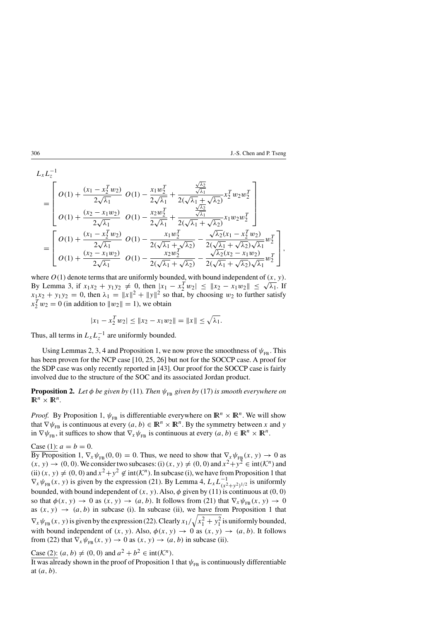$$
L_{x}L_{z}^{-1}
$$
\n
$$
= \begin{bmatrix}\nO(1) + \frac{(x_{1} - x_{2}^{T} w_{2})}{2\sqrt{\lambda_{1}}} & O(1) - \frac{x_{1} w_{2}^{T}}{2\sqrt{\lambda_{1}}} + \frac{\frac{\sqrt{\lambda_{2}}}{\sqrt{\lambda_{1}}} }{2(\sqrt{\lambda_{1}} + \sqrt{\lambda_{2}})} x_{2}^{T} w_{2} w_{2}^{T} \\
O(1) + \frac{(x_{2} - x_{1} w_{2})}{2\sqrt{\lambda_{1}}} & O(1) - \frac{x_{2} w_{2}^{T}}{2\sqrt{\lambda_{1}}} + \frac{\frac{\sqrt{\lambda_{2}}}{\sqrt{\lambda_{1}}} }{2(\sqrt{\lambda_{1}} + \sqrt{\lambda_{2}})} x_{1} w_{2} w_{2}^{T}\n\end{bmatrix}
$$
\n
$$
= \begin{bmatrix}\nO(1) + \frac{(x_{1} - x_{2}^{T} w_{2})}{2\sqrt{\lambda_{1}}} & O(1) - \frac{x_{1} w_{2}^{T}}{2(\sqrt{\lambda_{1}} + \sqrt{\lambda_{2}})} - \frac{\sqrt{\lambda_{2}}(x_{1} - x_{2}^{T} w_{2})}{2(\sqrt{\lambda_{1}} + \sqrt{\lambda_{2}})\sqrt{\lambda_{1}}} w_{2}^{T} \\
O(1) + \frac{(x_{2} - x_{1} w_{2})}{2\sqrt{\lambda_{1}}} & O(1) - \frac{x_{2} w_{2}^{T}}{2(\sqrt{\lambda_{1}} + \sqrt{\lambda_{2}})} - \frac{\sqrt{\lambda_{2}}(x_{2} - x_{1} w_{2})}{2(\sqrt{\lambda_{1}} + \sqrt{\lambda_{2}})\sqrt{\lambda_{1}}} w_{2}^{T}\n\end{bmatrix},
$$

where  $O(1)$  denote terms that are uniformly bounded, with bound independent of  $(x, y)$ . where  $O(1)$  denote terms that are uniformly bounded, with bound independent of  $(x, y)$ .<br>By Lemma 3, if  $x_1x_2 + y_1y_2 \neq 0$ , then  $|x_1 - x_2^T w_2| \leq ||x_2 - x_1w_2|| \leq \sqrt{\lambda_1}$ . If  $x_1x_2 + y_1y_2 = 0$ , then  $\lambda_1 = ||x||^2 + ||y||^2$  so that, by choosing  $w_2$  to further satisfy  $x_2^T w_2 = 0$  (in addition to  $||w_2|| = 1$ ), we obtain

$$
|x_1 - x_2^T w_2| \leq ||x_2 - x_1 w_2|| = ||x|| \leq \sqrt{\lambda_1}.
$$

Thus, all terms in  $L_x L_z^{-1}$  are uniformly bounded.

Using Lemmas 2, 3, 4 and Proposition 1, we now prove the smoothness of  $\psi_{FB}$ . This has been proven for the NCP case [10, 25, 26] but not for the SOCCP case. A proof for the SDP case was only recently reported in [43]. Our proof for the SOCCP case is fairly involved due to the structure of the SOC and its associated Jordan product.

**Proposition 2.** *Let*  $\phi$  *be given by* (11)*. Then*  $\psi_{FB}$  *given by* (17) *is smooth everywhere on*  $\mathbb{R}^n \times \mathbb{R}^n$ .

*Proof.* By Proposition 1,  $\psi_{FB}$  is differentiable everywhere on  $\mathbb{R}^n \times \mathbb{R}^n$ . We will show that  $\nabla \psi_{FB}$  is continuous at every  $(a, b) \in \mathbb{R}^n \times \mathbb{R}^n$ . By the symmetry between x and y in  $\nabla \psi_{FB}$ , it suffices to show that  $\nabla_x \psi_{FB}$  is continuous at every  $(a, b) \in \mathbb{R}^n \times \mathbb{R}^n$ .

## Case (1):  $a = b = 0$ .

By Proposition 1,  $\nabla_x \psi_{FB}(0, 0) = 0$ . Thus, we need to show that  $\nabla_x \psi_{FB}(x, y) \to 0$  as  $(x, y) \rightarrow (0, 0)$ . We consider two subcases: (i)  $(x, y) \neq (0, 0)$  and  $x^2 + y^2 \in \text{int}(\mathcal{K}^n)$  and (ii)  $(x, y) \neq (0, 0)$  and  $x^2 + y^2 \notin \text{int}(\mathcal{K}^n)$ . In subcase (i), we have from Proposition 1 that  $\nabla_x \psi_{FB}(x, y)$  is given by the expression (21). By Lemma 4,  $L_x L_{(x^2+y^2)^{1/2}}^{-1}$  is uniformly bounded, with bound independent of  $(x, y)$ . Also,  $\phi$  given by (11) is continuous at (0, 0) so that  $\phi(x, y) \to 0$  as  $(x, y) \to (a, b)$ . It follows from (21) that  $\nabla_x \psi_{FB}(x, y) \to 0$ as  $(x, y) \rightarrow (a, b)$  in subcase (i). In subcase (ii), we have from Proposition 1 that  $\nabla_x \psi_{FB}(x, y)$  is given by the expression (22). Clearly  $x_1/\sqrt{x_1^2 + y_1^2}$  is uniformly bounded, with bound independent of  $(x, y)$ . Also,  $\phi(x, y) \rightarrow 0$  as  $(x, y) \rightarrow (a, b)$ . It follows from (22) that  $\nabla_x \psi_{FB}(x, y) \to 0$  as  $(x, y) \to (a, b)$  in subcase (ii).

Case (2):  $(a, b) \neq (0, 0)$  and  $a^2 + b^2 \in \text{int}(\mathcal{K}^n)$ .

It was already shown in the proof of Proposition 1 that  $\psi_{FB}$  is continuously differentiable at  $(a, b)$ .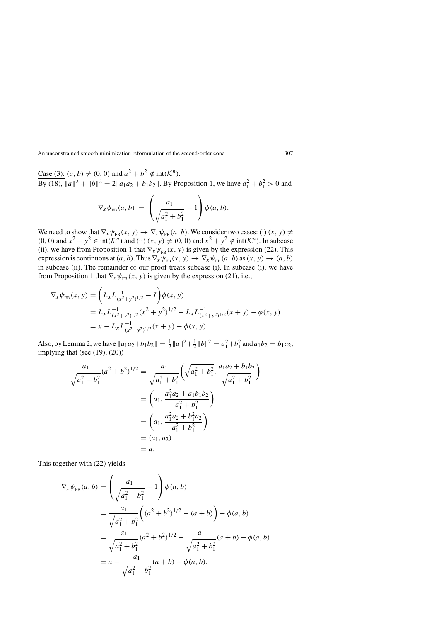Case (3):  $(a, b) \neq (0, 0)$  and  $a^2 + b^2 \notin \text{int}(\mathcal{K}^n)$ . By (18),  $||a||^2 + ||b||^2 = 2||a_1a_2 + b_1b_2||$ . By Proposition 1, we have  $a_1^2 + b_1^2 > 0$  and

$$
\nabla_{x} \psi_{FB}(a, b) = \left( \frac{a_1}{\sqrt{a_1^2 + b_1^2}} - 1 \right) \phi(a, b).
$$

We need to show that  $\nabla_x \psi_{FB}(x, y) \to \nabla_x \psi_{FB}(a, b)$ . We consider two cases: (i)  $(x, y) \neq$ (0, 0) and  $x^2 + y^2 \in \text{int}(\mathcal{K}^n)$  and (ii)  $(x, y) \neq (0, 0)$  and  $x^2 + y^2 \notin \text{int}(\mathcal{K}^n)$ . In subcase (ii), we have from Proposition 1 that  $\nabla_x \psi_{FB}(x, y)$  is given by the expression (22). This expression is continuous at  $(a, b)$ . Thus  $\nabla_x \psi_{FB}(x, y) \to \nabla_x \psi_{FB}(a, b)$  as  $(x, y) \to (a, b)$ in subcase (ii). The remainder of our proof treats subcase (i). In subcase (i), we have from Proposition 1 that  $\nabla_x \psi_{FB}(x, y)$  is given by the expression (21), i.e.,

$$
\nabla_x \psi_{FB}(x, y) = \left( L_x L_{(x^2+y^2)^{1/2}}^{-1} - I \right) \phi(x, y)
$$
  
=  $L_x L_{(x^2+y^2)^{1/2}}^{-1} (x^2 + y^2)^{1/2} - L_x L_{(x^2+y^2)^{1/2}}^{-1} (x + y) - \phi(x, y)$   
=  $x - L_x L_{(x^2+y^2)^{1/2}}^{-1} (x + y) - \phi(x, y).$ 

Also, by Lemma 2, we have  $||a_1a_2+b_1b_2|| = \frac{1}{2}||a||^2 + \frac{1}{2}||b||^2 = a_1^2 + b_1^2$  and  $a_1b_2 = b_1a_2$ , implying that (see (19), (20))

$$
\frac{a_1}{\sqrt{a_1^2 + b_1^2}} (a^2 + b^2)^{1/2} = \frac{a_1}{\sqrt{a_1^2 + b_1^2}} \left( \sqrt{a_1^2 + b_1^2}, \frac{a_1 a_2 + b_1 b_2}{\sqrt{a_1^2 + b_1^2}} \right)
$$

$$
= \left( a_1, \frac{a_1^2 a_2 + a_1 b_1 b_2}{a_1^2 + b_1^2} \right)
$$

$$
= \left( a_1, \frac{a_1^2 a_2 + b_1^2 a_2}{a_1^2 + b_1^2} \right)
$$

$$
= (a_1, a_2)
$$

$$
= a.
$$

This together with (22) yields

$$
\nabla_{x} \psi_{FB}(a, b) = \left(\frac{a_1}{\sqrt{a_1^2 + b_1^2}} - 1\right) \phi(a, b)
$$
  
= 
$$
\frac{a_1}{\sqrt{a_1^2 + b_1^2}} \left( (a^2 + b^2)^{1/2} - (a + b) \right) - \phi(a, b)
$$
  
= 
$$
\frac{a_1}{\sqrt{a_1^2 + b_1^2}} (a^2 + b^2)^{1/2} - \frac{a_1}{\sqrt{a_1^2 + b_1^2}} (a + b) - \phi(a, b)
$$
  
= 
$$
a - \frac{a_1}{\sqrt{a_1^2 + b_1^2}} (a + b) - \phi(a, b).
$$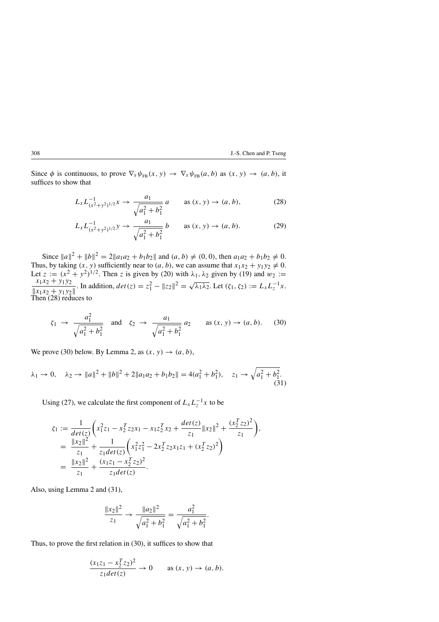Since  $\phi$  is continuous, to prove  $\nabla_x \psi_{FB}(x, y) \to \nabla_x \psi_{FB}(a, b)$  as  $(x, y) \to (a, b)$ , it suffices to show that

$$
L_x L_{(x^2+y^2)^{1/2}}^{-1} x \to \frac{a_1}{\sqrt{a_1^2 + b_1^2}} a \quad \text{as } (x, y) \to (a, b), \tag{28}
$$

$$
L_x L_{(x^2+y^2)^{1/2}}^{-1} y \to \frac{a_1}{\sqrt{a_1^2 + b_1^2}} b \qquad \text{as } (x, y) \to (a, b). \tag{29}
$$

Since  $||a||^2 + ||b||^2 = 2||a_1a_2 + b_1b_2||$  and  $(a, b) \neq (0, 0)$ , then  $a_1a_2 + b_1b_2 \neq 0$ . Thus, by taking  $(x, y)$  sufficiently near to  $(a, b)$ , we can assume that  $x_1x_2 + y_1y_2 \neq 0$ . Let  $z := (x^2 + y^2)^{1/2}$ . Then z is given by (20) with  $\lambda_1, \lambda_2$  given by (19) and  $w_2 := x_1x_2 + y_1y_2$ . In addition,  $dx(c) = c^2 - ||z||^2$  $||x_1x_2 + y_1y_2||$ . In addition,  $det(z) = z_1^2 - ||z_2||^2 = \sqrt{\lambda_1 \lambda_2}$ . Let  $(\zeta_1, \zeta_2) := L_x L_z^{-1} x$ . Then (28) reduces to

$$
\zeta_1 \to \frac{a_1^2}{\sqrt{a_1^2 + b_1^2}}
$$
 and  $\zeta_2 \to \frac{a_1}{\sqrt{a_1^2 + b_1^2}} a_2$  as  $(x, y) \to (a, b)$ . (30)

We prove (30) below. By Lemma 2, as  $(x, y) \rightarrow (a, b)$ ,

$$
\lambda_1 \to 0, \quad \lambda_2 \to \|a\|^2 + \|b\|^2 + 2\|a_1 a_2 + b_1 b_2\| = 4(a_1^2 + b_1^2), \quad z_1 \to \sqrt{a_1^2 + b_1^2}.
$$
\n(31)

Using (27), we calculate the first component of  $L_x L_z^{-1} x$  to be

$$
\zeta_1 := \frac{1}{\det(z)} \left( x_1^2 z_1 - x_2^T z_2 x_1 - x_1 z_2^T x_2 + \frac{\det(z)}{z_1} ||x_2||^2 + \frac{(x_2^T z_2)^2}{z_1} \right),
$$
  
\n
$$
= \frac{||x_2||^2}{z_1} + \frac{1}{z_1 \det(z)} \left( x_1^2 z_1^2 - 2 x_2^T z_2 x_1 z_1 + (x_2^T z_2)^2 \right)
$$
  
\n
$$
= \frac{||x_2||^2}{z_1} + \frac{(x_1 z_1 - x_2^T z_2)^2}{z_1 \det(z)}.
$$

Also, using Lemma 2 and (31),

$$
\frac{\|x_2\|^2}{z_1} \to \frac{\|a_2\|^2}{\sqrt{a_1^2 + b_1^2}} = \frac{a_1^2}{\sqrt{a_1^2 + b_1^2}}.
$$

Thus, to prove the first relation in (30), it suffices to show that

$$
\frac{(x_1z_1 - x_2^Tz_2)^2}{z_1det(z)} \to 0 \quad \text{as } (x, y) \to (a, b).
$$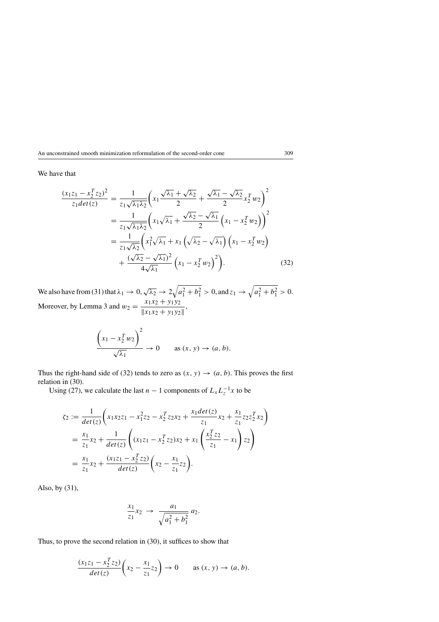## We have that

$$
\frac{(x_1z_1 - x_2^Tz_2)^2}{z_1det(z)} = \frac{1}{z_1\sqrt{\lambda_1\lambda_2}} \left( x_1 \frac{\sqrt{\lambda_1} + \sqrt{\lambda_2}}{2} + \frac{\sqrt{\lambda_1} - \sqrt{\lambda_2}}{2} x_2^T w_2 \right)^2
$$

$$
= \frac{1}{z_1\sqrt{\lambda_1\lambda_2}} \left( x_1 \sqrt{\lambda_1} + \frac{\sqrt{\lambda_2} - \sqrt{\lambda_1}}{2} \left( x_1 - x_2^T w_2 \right) \right)^2
$$

$$
= \frac{1}{z_1\sqrt{\lambda_2}} \left( x_1^2 \sqrt{\lambda_1} + x_1 \left( \sqrt{\lambda_2} - \sqrt{\lambda_1} \right) \left( x_1 - x_2^T w_2 \right) + \frac{(\sqrt{\lambda_2} - \sqrt{\lambda_1})^2}{4\sqrt{\lambda_1}} \left( x_1 - x_2^T w_2 \right)^2 \right). \tag{32}
$$

We also have from (31) that  $\lambda_1 \to 0$ ,  $\sqrt{\lambda_2} \to 2\sqrt{a_1^2 + b_1^2} > 0$ , and  $z_1 \to \sqrt{a_1^2 + b_1^2} > 0$ . Moreover, by Lemma 3 and  $w_2 = \frac{x_1x_2 + y_1y_2}{\|x_1x_2 + y_1y_2\|}$ ,

$$
\frac{\left(x_1 - x_2^T w_2\right)^2}{\sqrt{\lambda_1}} \to 0 \quad \text{as } (x, y) \to (a, b).
$$

Thus the right-hand side of (32) tends to zero as  $(x, y) \rightarrow (a, b)$ . This proves the first relation in (30).

Using (27), we calculate the last  $n-1$  components of  $L_x L_z^{-1} x$  to be

$$
\zeta_2 := \frac{1}{\det(z)} \bigg( x_1 x_2 z_1 - x_1^2 z_2 - x_2^T z_2 x_2 + \frac{x_1 \det(z)}{z_1} x_2 + \frac{x_1}{z_1} z_2 z_2^T x_2 \bigg)
$$
  
=  $\frac{x_1}{z_1} x_2 + \frac{1}{\det(z)} \bigg( (x_1 z_1 - x_2^T z_2) x_2 + x_1 \bigg( \frac{x_2^T z_2}{z_1} - x_1 \bigg) z_2 \bigg)$   
=  $\frac{x_1}{z_1} x_2 + \frac{(x_1 z_1 - x_2^T z_2)}{\det(z)} \bigg( x_2 - \frac{x_1}{z_1} z_2 \bigg).$ 

Also, by (31),

$$
\frac{x_1}{z_1}x_2 \to \frac{a_1}{\sqrt{a_1^2 + b_1^2}} a_2.
$$

Thus, to prove the second relation in (30), it suffices to show that

$$
\frac{(x_1z_1 - x_2^Tz_2)}{det(z)} \left( x_2 - \frac{x_1}{z_1} z_2 \right) \to 0 \quad \text{as } (x, y) \to (a, b).
$$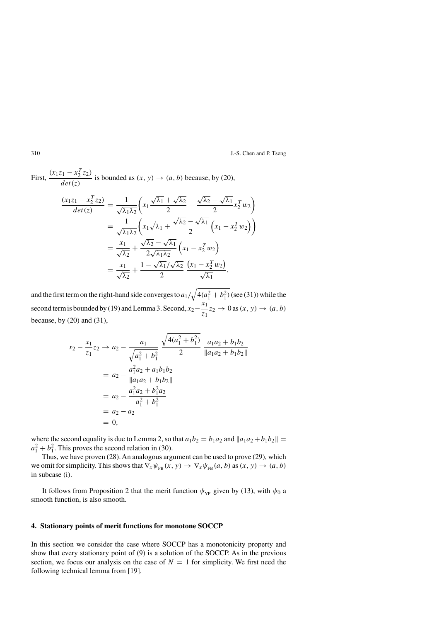First, 
$$
\frac{(x_1z_1 - x_2^Tz_2)}{det(z)}
$$
 is bounded as  $(x, y) \rightarrow (a, b)$  because, by (20),

$$
\frac{(x_1z_1 - x_2^Tz_2)}{det(z)} = \frac{1}{\sqrt{\lambda_1\lambda_2}} \left( x_1 \frac{\sqrt{\lambda_1} + \sqrt{\lambda_2}}{2} - \frac{\sqrt{\lambda_2} - \sqrt{\lambda_1}}{2} x_2^T w_2 \right)
$$
  

$$
= \frac{1}{\sqrt{\lambda_1\lambda_2}} \left( x_1 \sqrt{\lambda_1} + \frac{\sqrt{\lambda_2} - \sqrt{\lambda_1}}{2} \left( x_1 - x_2^T w_2 \right) \right)
$$
  

$$
= \frac{x_1}{\sqrt{\lambda_2}} + \frac{\sqrt{\lambda_2} - \sqrt{\lambda_1}}{2\sqrt{\lambda_1\lambda_2}} \left( x_1 - x_2^T w_2 \right)
$$
  

$$
= \frac{x_1}{\sqrt{\lambda_2}} + \frac{1 - \sqrt{\lambda_1}/\sqrt{\lambda_2}}{2} \frac{\left( x_1 - x_2^T w_2 \right)}{\sqrt{\lambda_1}},
$$

and the first term on the right-hand side converges to  $a_1/\sqrt{4(a_1^2+b_1^2)}$  (see (31)) while the second term is bounded by (19) and Lemma 3. Second,  $x_2 - \frac{x_1}{z_1}z_2 \to 0$  as  $(x, y) \to (a, b)$ because, by  $(20)$  and  $(31)$ ,

$$
x_2 - \frac{x_1}{z_1}z_2 \to a_2 - \frac{a_1}{\sqrt{a_1^2 + b_1^2}} \frac{\sqrt{4(a_1^2 + b_1^2)}}{2} \frac{a_1a_2 + b_1b_2}{\|a_1a_2 + b_1b_2\|}
$$
  
=  $a_2 - \frac{a_1^2a_2 + a_1b_1b_2}{\|a_1a_2 + b_1b_2\|}$   
=  $a_2 - \frac{a_1^2a_2 + b_1^2a_2}{a_1^2 + b_1^2}$   
=  $a_2 - a_2$   
= 0,

where the second equality is due to Lemma 2, so that  $a_1b_2 = b_1a_2$  and  $||a_1a_2 + b_1b_2|| =$  $a_1^2 + b_1^2$ . This proves the second relation in (30).

Thus, we have proven (28). An analogous argument can be used to prove (29), which we omit for simplicity. This shows that  $\nabla_x \psi_{FB}(x, y) \to \nabla_x \psi_{FB}(a, b)$  as  $(x, y) \to (a, b)$ in subcase (i).

It follows from Proposition 2 that the merit function  $\psi_{YF}$  given by (13), with  $\psi_0$  a smooth function, is also smooth.

# **4. Stationary points of merit functions for monotone SOCCP**

In this section we consider the case where SOCCP has a monotonicity property and show that every stationary point of (9) is a solution of the SOCCP. As in the previous section, we focus our analysis on the case of  $N = 1$  for simplicity. We first need the following technical lemma from [19].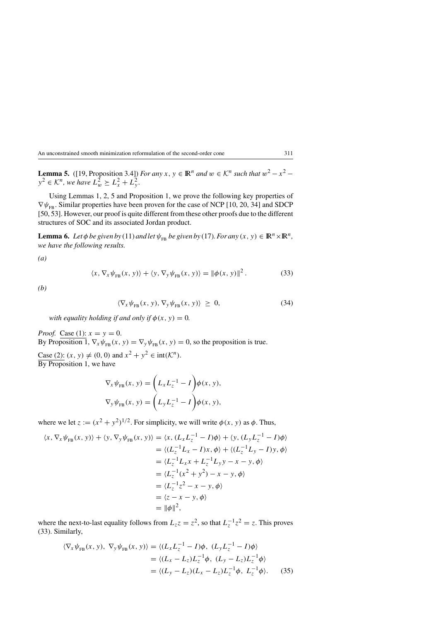**Lemma 5.** ([19, Proposition 3.4]) *For any*  $x, y \in \mathbb{R}^n$  *and*  $w \in \mathcal{K}^n$  *such that*  $w^2 - x^2 - 2$  $y^2 \in \mathcal{K}^n$ , we have  $L^2_w \ge L^2_x + L^2_y$ .

Using Lemmas 1, 2, 5 and Proposition 1, we prove the following key properties of  $\nabla \psi_{FB}$ . Similar properties have been proven for the case of NCP [10, 20, 34] and SDCP [50, 53]. However, our proof is quite different from these other proofs due to the different structures of SOC and its associated Jordan product.

**Lemma 6.** *Let*  $\phi$  *be given by* (11) *and let*  $\psi_{FB}$  *be given by* (17)*. For any* (x, y)  $\in \mathbb{R}^n \times \mathbb{R}^n$ , *we have the following results.*

*(a)*

$$
\langle x, \nabla_x \psi_{FB}(x, y) \rangle + \langle y, \nabla_y \psi_{FB}(x, y) \rangle = ||\phi(x, y)||^2.
$$
 (33)

*(b)*

$$
\langle \nabla_x \psi_{FB}(x, y), \nabla_y \psi_{FB}(x, y) \rangle \geq 0, \tag{34}
$$

*with equality holding if and only if*  $\phi(x, y) = 0$ *.* 

*Proof.* Case (1):  $x = y = 0$ . By Proposition 1,  $\nabla_x \psi_{FB}(x, y) = \nabla_y \psi_{FB}(x, y) = 0$ , so the proposition is true.

Case (2):  $(x, y) \neq (0, 0)$  and  $x^2 + y^2 \in \text{int}(\mathcal{K}^n)$ . By Proposition 1, we have

$$
\nabla_x \psi_{FB}(x, y) = \left( L_x L_z^{-1} - I \right) \phi(x, y),
$$
  

$$
\nabla_y \psi_{FB}(x, y) = \left( L_y L_z^{-1} - I \right) \phi(x, y),
$$

where we let  $z := (x^2 + y^2)^{1/2}$ . For simplicity, we will write  $\phi(x, y)$  as  $\phi$ . Thus,

$$
\langle x, \nabla_x \psi_{FB}(x, y) \rangle + \langle y, \nabla_y \psi_{FB}(x, y) \rangle = \langle x, (L_x L_z^{-1} - I)\phi \rangle + \langle y, (L_y L_z^{-1} - I)\phi \rangle
$$
  
\n
$$
= \langle (L_z^{-1} L_x - I)x, \phi \rangle + \langle (L_z^{-1} L_y - I)y, \phi \rangle
$$
  
\n
$$
= \langle L_z^{-1} L_x x + L_z^{-1} L_y y - x - y, \phi \rangle
$$
  
\n
$$
= \langle L_z^{-1} (x^2 + y^2) - x - y, \phi \rangle
$$
  
\n
$$
= \langle L_z^{-1} z^2 - x - y, \phi \rangle
$$
  
\n
$$
= \langle z - x - y, \phi \rangle
$$
  
\n
$$
= \|\phi\|^2,
$$

where the next-to-last equality follows from  $L_z z = z^2$ , so that  $L_z^{-1} z^2 = z$ . This proves (33). Similarly,

$$
\langle \nabla_x \psi_{FB}(x, y), \nabla_y \psi_{FB}(x, y) \rangle = \langle (L_x L_z^{-1} - I)\phi, (L_y L_z^{-1} - I)\phi \rangle
$$
  
=  $\langle (L_x - L_z)L_z^{-1}\phi, (L_y - L_z)L_z^{-1}\phi \rangle$   
=  $\langle (L_y - L_z)(L_x - L_z)L_z^{-1}\phi, L_z^{-1}\phi \rangle$ . (35)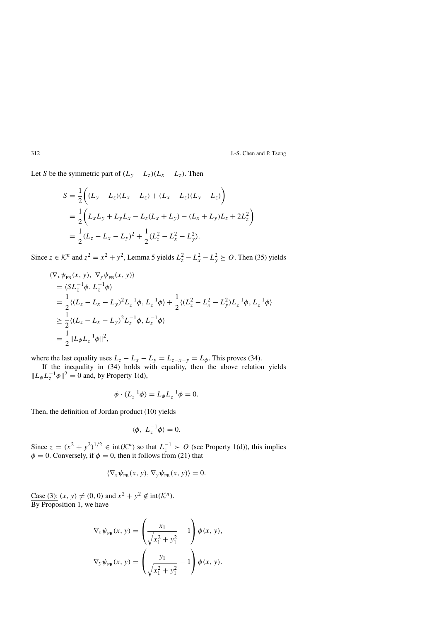Let S be the symmetric part of  $(L_y - L_z)(L_x - L_z)$ . Then

$$
S = \frac{1}{2} \Big( (L_y - L_z)(L_x - L_z) + (L_x - L_z)(L_y - L_z) \Big)
$$
  
=  $\frac{1}{2} \Big( L_x L_y + L_y L_x - L_z (L_x + L_y) - (L_x + L_y) L_z + 2L_z^2 \Big)$   
=  $\frac{1}{2} (L_z - L_x - L_y)^2 + \frac{1}{2} (L_z^2 - L_x^2 - L_y^2).$ 

Since  $z \in \mathcal{K}^n$  and  $z^2 = x^2 + y^2$ , Lemma 5 yields  $L_z^2 - L_x^2 - L_y^2 \geq 0$ . Then (35) yields

$$
\langle \nabla_x \psi_{FB}(x, y), \nabla_y \psi_{FB}(x, y) \rangle
$$
  
=\langle SL\_z^{-1} \phi, L\_z^{-1} \phi \rangle  
=\frac{1}{2} \langle (L\_z - L\_x - L\_y)^2 L\_z^{-1} \phi, L\_z^{-1} \phi \rangle + \frac{1}{2} \langle (L\_z^2 - L\_x^2 - L\_y^2) L\_z^{-1} \phi, L\_z^{-1} \phi \rangle  
\geq \frac{1}{2} \langle (L\_z - L\_x - L\_y)^2 L\_z^{-1} \phi, L\_z^{-1} \phi \rangle  
= \frac{1}{2} ||L\_{\phi} L\_z^{-1} \phi||^2,

where the last equality uses  $L_z - L_x - L_y = L_{z-x-y} = L_{\phi}$ . This proves (34).

If the inequality in (34) holds with equality, then the above relation yields  $\|L_{\phi}L_{z}^{-1}\phi\|^{2}=0$  and, by Property 1(d),

$$
\phi \cdot (L_z^{-1} \phi) = L_{\phi} L_z^{-1} \phi = 0.
$$

Then, the definition of Jordan product (10) yields

$$
\langle \phi, L_z^{-1} \phi \rangle = 0.
$$

Since  $z = (x^2 + y^2)^{1/2} \in \text{int}(\mathcal{K}^n)$  so that  $L_z^{-1} > O$  (see Property 1(d)), this implies  $\phi = 0$ . Conversely, if  $\phi = 0$ , then it follows from (21) that

$$
\langle \nabla_x \psi_{FB}(x, y), \nabla_y \psi_{FB}(x, y) \rangle = 0.
$$

Case (3):  $(x, y) \neq (0, 0)$  and  $x^2 + y^2 \notin \text{int}(\mathcal{K}^n)$ . By Proposition 1, we have

$$
\nabla_x \psi_{FB}(x, y) = \left(\frac{x_1}{\sqrt{x_1^2 + y_1^2}} - 1\right) \phi(x, y),
$$
  

$$
\nabla_y \psi_{FB}(x, y) = \left(\frac{y_1}{\sqrt{x_1^2 + y_1^2}} - 1\right) \phi(x, y).
$$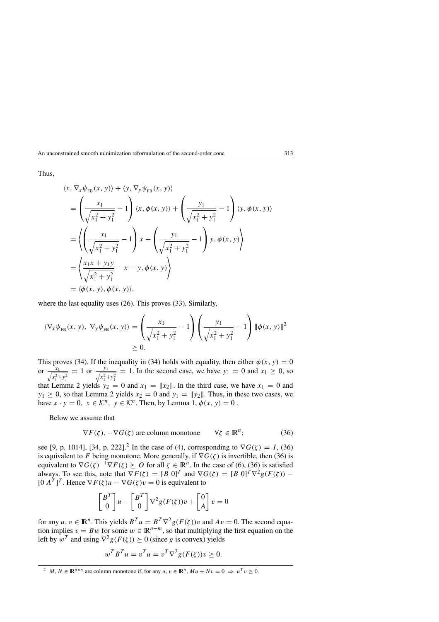Thus,

$$
\langle x, \nabla_x \psi_{FB}(x, y) \rangle + \langle y, \nabla_y \psi_{FB}(x, y) \rangle
$$
  
=  $\left( \frac{x_1}{\sqrt{x_1^2 + y_1^2}} - 1 \right) \langle x, \phi(x, y) \rangle + \left( \frac{y_1}{\sqrt{x_1^2 + y_1^2}} - 1 \right) \langle y, \phi(x, y) \rangle$   
=  $\left( \left( \frac{x_1}{\sqrt{x_1^2 + y_1^2}} - 1 \right) x + \left( \frac{y_1}{\sqrt{x_1^2 + y_1^2}} - 1 \right) y, \phi(x, y) \right)$   
=  $\left( \frac{x_1 x + y_1 y}{\sqrt{x_1^2 + y_1^2}} - x - y, \phi(x, y) \right)$   
=  $\langle \phi(x, y), \phi(x, y) \rangle$ ,

where the last equality uses (26). This proves (33). Similarly,

$$
\langle \nabla_x \psi_{FB}(x, y), \nabla_y \psi_{FB}(x, y) \rangle = \left( \frac{x_1}{\sqrt{x_1^2 + y_1^2}} - 1 \right) \left( \frac{y_1}{\sqrt{x_1^2 + y_1^2}} - 1 \right) \|\phi(x, y)\|^2
$$
  
\n
$$
\geq 0.
$$

This proves (34). If the inequality in (34) holds with equality, then either  $\phi(x, y) = 0$ or  $\frac{x_1}{\sqrt{x^2}}$  $\frac{x_1}{x_1^2+y_1^2}$  = 1 or  $\frac{y_1}{\sqrt{x_1^2+y_1^2}}$  $x_1^2 + y_1^2$  $= 1$ . In the second case, we have  $y_1 = 0$  and  $x_1 \ge 0$ , so that Lemma 2 yields  $y_2 = 0$  and  $x_1 = ||x_2||$ . In the third case, we have  $x_1 = 0$  and  $y_1 \ge 0$ , so that Lemma 2 yields  $x_2 = 0$  and  $y_1 = ||y_2||$ . Thus, in these two cases, we have  $x \cdot y = 0$ ,  $x \in \mathcal{K}^n$ ,  $y \in \mathcal{K}^n$ . Then, by Lemma 1,  $\phi(x, y) = 0$ .

Below we assume that

$$
\nabla F(\zeta), -\nabla G(\zeta) \text{ are column monotone } \forall \zeta \in \mathbb{R}^n; \tag{36}
$$

see [9, p. 1014], [34, p. 222].<sup>2</sup> In the case of (4), corresponding to  $\nabla G(\zeta) = I$ , (36) is equivalent to F being monotone. More generally, if  $\nabla G(\zeta)$  is invertible, then (36) is equivalent to  $\nabla G(\zeta)^{-1} \nabla F(\zeta) \succeq O$  for all  $\zeta \in \mathbb{R}^n$ . In the case of (6), (36) is satisfied always. To see this, note that  $\nabla F(\zeta) = [B \ 0]^T$  and  $\nabla G(\zeta) = [B \ 0]^T \nabla^2 g(F(\zeta))$  –  $[0 \, A^T]^T$ . Hence  $\nabla F(\zeta)u - \nabla G(\zeta)v = 0$  is equivalent to

$$
\begin{bmatrix} B^T \\ 0 \end{bmatrix} u - \begin{bmatrix} B^T \\ 0 \end{bmatrix} \nabla^2 g(F(\zeta)) v + \begin{bmatrix} 0 \\ A \end{bmatrix} v = 0
$$

for any  $u, v \in \mathbb{R}^n$ . This yields  $B^T u = B^T \nabla^2 g(F(\zeta)) v$  and  $Av = 0$ . The second equation implies  $v = Bw$  for some  $w \in \mathbb{R}^{n-m}$ , so that multiplying the first equation on the left by  $w^T$  and using  $\nabla^2 g(F(\zeta)) \succeq 0$  (since g is convex) yields

$$
w^T B^T u = v^T u = v^T \nabla^2 g(F(\zeta)) v \ge 0.
$$

<sup>&</sup>lt;sup>2</sup> M, N  $\in \mathbb{R}^{n \times n}$  are column monotone if, for any  $u, v \in \mathbb{R}^n$ ,  $Mu + Nv = 0 \Rightarrow u^T v > 0$ .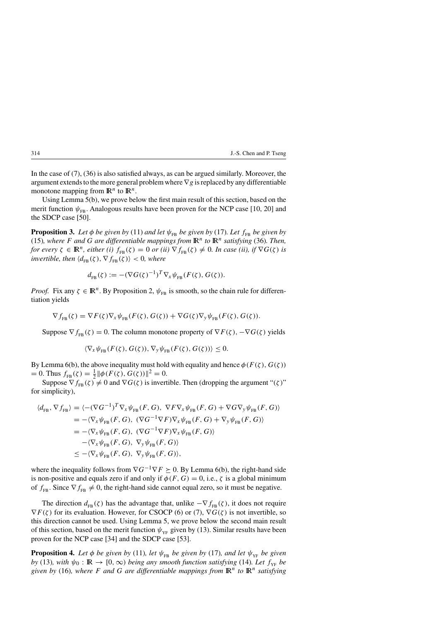In the case of (7), (36) is also satisfied always, as can be argued similarly. Moreover, the argument extends to the more general problem where  $\nabla g$  is replaced by any differentiable monotone mapping from  $\mathbb{R}^n$  to  $\mathbb{R}^n$ .

Using Lemma 5(b), we prove below the first main result of this section, based on the merit function  $\psi_{FB}$ . Analogous results have been proven for the NCP case [10, 20] and the SDCP case [50].

**Proposition 3.** *Let*  $\phi$  *be given by* (11) *and let*  $\psi_{FB}$  *be given by* (17)*. Let*  $f_{FB}$  *be given by* (15), where F and G are differentiable mappings from  $\mathbb{R}^n$  to  $\mathbb{R}^n$  satisfying (36). Then, *for every*  $\zeta \in \mathbb{R}^n$ , *either* (*i*)  $f_{FB}(\zeta) = 0$  *or* (*ii*)  $\nabla f_{FB}(\zeta) \neq 0$ . In case (*ii*), *if*  $\nabla G(\zeta)$  *is invertible, then*  $\langle d_{FB}(\zeta), \nabla f_{FB}(\zeta) \rangle < 0$ , where

$$
d_{\text{FB}}(\zeta) := -(\nabla G(\zeta)^{-1})^T \nabla_{\mathbf{x}} \psi_{\text{FB}}(F(\zeta), G(\zeta)).
$$

*Proof.* Fix any  $\zeta \in \mathbb{R}^n$ . By Proposition 2,  $\psi_{FB}$  is smooth, so the chain rule for differentiation yields

$$
\nabla f_{\text{FB}}(\zeta) = \nabla F(\zeta) \nabla_{\mathbf{x}} \psi_{\text{FB}}(F(\zeta), G(\zeta)) + \nabla G(\zeta) \nabla_{\mathbf{y}} \psi_{\text{FB}}(F(\zeta), G(\zeta)).
$$

Suppose  $\nabla f_{FR}(\zeta) = 0$ . The column monotone property of  $\nabla F(\zeta)$ ,  $-\nabla G(\zeta)$  yields

 $\langle \nabla_{x} \psi_{FB}(F(\zeta), G(\zeta)), \nabla_{y} \psi_{FB}(F(\zeta), G(\zeta)) \rangle \leq 0.$ 

By Lemma 6(b), the above inequality must hold with equality and hence  $\phi(F(\zeta), G(\zeta))$ = 0. Thus  $f_{FB}(\zeta) = \frac{1}{2} ||\phi(F(\zeta), G(\zeta))||^2 = 0.$ 

Suppose  $\nabla f_{FB}(\zeta) \neq 0$  and  $\nabla G(\zeta)$  is invertible. Then (dropping the argument " $(\zeta)$ " for simplicity),

$$
\langle d_{\text{FB}}, \nabla f_{\text{FB}} \rangle = \langle -(\nabla G^{-1})^T \nabla_x \psi_{\text{FB}}(F, G), \nabla F \nabla_x \psi_{\text{FB}}(F, G) + \nabla G \nabla_y \psi_{\text{FB}}(F, G) \rangle
$$
  
\n
$$
= -\langle \nabla_x \psi_{\text{FB}}(F, G), (\nabla G^{-1} \nabla F) \nabla_x \psi_{\text{FB}}(F, G) + \nabla_y \psi_{\text{FB}}(F, G) \rangle
$$
  
\n
$$
= -\langle \nabla_x \psi_{\text{FB}}(F, G), (\nabla G^{-1} \nabla F) \nabla_x \psi_{\text{FB}}(F, G) \rangle
$$
  
\n
$$
- \langle \nabla_x \psi_{\text{FB}}(F, G), \nabla_y \psi_{\text{FB}}(F, G) \rangle
$$
  
\n
$$
\le -\langle \nabla_x \psi_{\text{FB}}(F, G), \nabla_y \psi_{\text{FB}}(F, G) \rangle,
$$

where the inequality follows from  $\nabla G^{-1} \nabla F \succeq 0$ . By Lemma 6(b), the right-hand side is non-positive and equals zero if and only if  $\phi(F, G) = 0$ , i.e.,  $\zeta$  is a global minimum of  $f_{FB}$ . Since  $\nabla f_{FB} \neq 0$ , the right-hand side cannot equal zero, so it must be negative.

The direction  $d_{FB}(\zeta)$  has the advantage that, unlike  $-\nabla f_{FB}(\zeta)$ , it does not require  $\nabla F(\zeta)$  for its evaluation. However, for CSOCP (6) or (7),  $\nabla G(\zeta)$  is not invertible, so this direction cannot be used. Using Lemma 5, we prove below the second main result of this section, based on the merit function  $\psi_{YF}$  given by (13). Similar results have been proven for the NCP case [34] and the SDCP case [53].

**Proposition 4.** Let  $\phi$  be given by (11), let  $\psi_{FB}$  be given by (17), and let  $\psi_{VF}$  be given *by* (13)*, with*  $\psi_0 : \mathbb{R} \to [0, \infty)$  *being any smooth function satisfying* (14)*. Let*  $f_{YF}$  *be given by* (16)*, where* F and G are differentiable mappings from  $\mathbb{R}^n$  to  $\mathbb{R}^n$  satisfying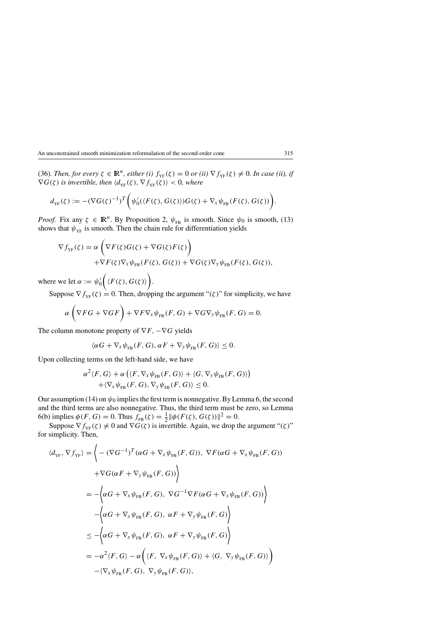(36)*. Then, for every*  $\zeta \in \mathbb{R}^n$ , either (i)  $f_{YF}(\zeta) = 0$  *or* (ii)  $\nabla f_{YF}(\zeta) \neq 0$ *. In case (ii), if*  $\nabla G(\zeta)$  is invertible, then  $\langle d_{\text{YF}}(\zeta), \nabla f_{\text{YF}}(\zeta) \rangle < 0$ , where

$$
d_{\mathrm{YF}}(\zeta) := -(\nabla G(\zeta)^{-1})^T \Big( \psi_0'(\langle F(\zeta), G(\zeta) \rangle) G(\zeta) + \nabla_{\mathbf{x}} \psi_{\mathrm{FB}}(F(\zeta), G(\zeta)) \Big).
$$

*Proof.* Fix any  $\zeta \in \mathbb{R}^n$ . By Proposition 2,  $\psi_{FB}$  is smooth. Since  $\psi_0$  is smooth, (13) shows that  $\psi_{YF}$  is smooth. Then the chain rule for differentiation yields

$$
\nabla f_{\text{YF}}(\zeta) = \alpha \left( \nabla F(\zeta) G(\zeta) + \nabla G(\zeta) F(\zeta) \right) \n+ \nabla F(\zeta) \nabla_x \psi_{\text{FB}}(F(\zeta), G(\zeta)) + \nabla G(\zeta) \nabla_y \psi_{\text{FB}}(F(\zeta), G(\zeta)),
$$

where we let  $\alpha := \psi'_0$  $\Big(\langle F(\zeta), G(\zeta) \rangle\Big).$ 

Suppose  $\nabla f_{YF}(\zeta) = 0$ . Then, dropping the argument " $(\zeta)$ " for simplicity, we have

$$
\alpha \left( \nabla F G + \nabla G F \right) + \nabla F \nabla_{\mathbf{x}} \psi_{\text{FB}}(F, G) + \nabla G \nabla_{\mathbf{y}} \psi_{\text{FB}}(F, G) = 0.
$$

The column monotone property of  $\nabla F$ ,  $-\nabla G$  yields

$$
\langle \alpha G + \nabla_{x} \psi_{FB}(F, G), \alpha F + \nabla_{y} \psi_{FB}(F, G) \rangle \leq 0.
$$

Upon collecting terms on the left-hand side, we have

$$
\alpha^{2}\langle F, G\rangle + \alpha \left(\langle F, \nabla_{x}\psi_{FB}(F, G)\rangle + \langle G, \nabla_{y}\psi_{FB}(F, G)\rangle\right) + \langle \nabla_{x}\psi_{FB}(F, G), \nabla_{y}\psi_{FB}(F, G)\rangle \leq 0.
$$

Our assumption (14) on  $\psi_0$  implies the first term is nonnegative. By Lemma 6, the second and the third terms are also nonnegative. Thus, the third term must be zero, so Lemma 6(b) implies  $\phi(F, G) = 0$ . Thus  $f_{FB}(\zeta) = \frac{1}{2} ||\phi(F(\zeta), G(\zeta))||^2 = 0$ .

Suppose  $\nabla f_{YF}(\zeta) \neq 0$  and  $\nabla G(\zeta)$  is invertible. Again, we drop the argument " $(\zeta)$ " for simplicity. Then,

$$
\langle d_{\text{YF}}, \nabla f_{\text{YF}} \rangle = \Biggl\{- (\nabla G^{-1})^T (\alpha G + \nabla_x \psi_{\text{FB}}(F, G)), \nabla F(\alpha G + \nabla_x \psi_{\text{FB}}(F, G))
$$
  
+ 
$$
\nabla G(\alpha F + \nabla_y \psi_{\text{FB}}(F, G)) \Biggr\rangle
$$
  
= 
$$
- \Biggl\langle \alpha G + \nabla_x \psi_{\text{FB}}(F, G), \nabla G^{-1} \nabla F(\alpha G + \nabla_x \psi_{\text{FB}}(F, G)) \Biggr\rangle
$$
  

$$
- \Biggl\langle \alpha G + \nabla_x \psi_{\text{FB}}(F, G), \alpha F + \nabla_y \psi_{\text{FB}}(F, G) \Biggr\rangle
$$
  

$$
\leq - \Biggl\langle \alpha G + \nabla_x \psi_{\text{FB}}(F, G), \alpha F + \nabla_y \psi_{\text{FB}}(F, G) \Biggr\rangle
$$
  
= 
$$
- \alpha^2 \langle F, G \rangle - \alpha \Biggl( \langle F, \nabla_x \psi_{\text{FB}}(F, G) \rangle + \langle G, \nabla_y \psi_{\text{FB}}(F, G) \rangle \Biggr)
$$
  
- 
$$
\langle \nabla_x \psi_{\text{FB}}(F, G), \nabla_y \psi_{\text{FB}}(F, G) \rangle,
$$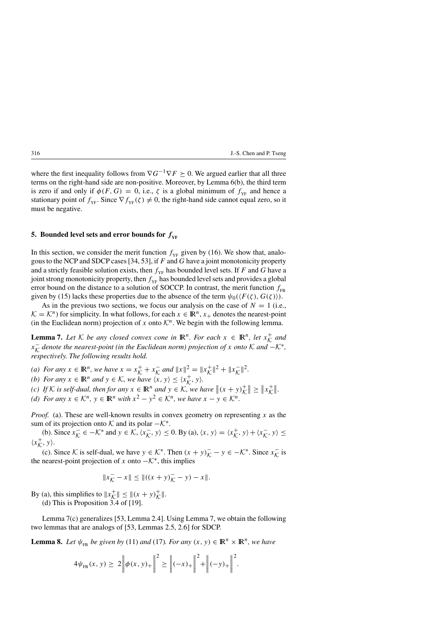where the first inequality follows from  $\nabla G^{-1}\nabla F \succeq 0$ . We argued earlier that all three terms on the right-hand side are non-positive. Moreover, by Lemma 6(b), the third term is zero if and only if  $\phi(F, G) = 0$ , i.e.,  $\zeta$  is a global minimum of  $f_{YF}$  and hence a stationary point of  $f_{YF}$ . Since  $\nabla f_{YF}(\zeta) \neq 0$ , the right-hand side cannot equal zero, so it must be negative.

# **5. Bounded level sets and error bounds for**  $f_{YF}$

In this section, we consider the merit function  $f_{YF}$  given by (16). We show that, analogous to the NCP and SDCP cases  $[34, 53]$ , if F and G have a joint monotonicity property and a strictly feasible solution exists, then  $f_{YF}$  has bounded level sets. If F and G have a joint strong monotonicity property, then  $f_{YF}$  has bounded level sets and provides a global error bound on the distance to a solution of SOCCP. In contrast, the merit function  $f_{FB}$ given by (15) lacks these properties due to the absence of the term  $\psi_0(\langle F(\zeta), G(\zeta) \rangle)$ .

As in the previous two sections, we focus our analysis on the case of  $N = 1$  (i.e.,  $\mathcal{K} = \mathcal{K}^n$ ) for simplicity. In what follows, for each  $x \in \mathbb{R}^n$ ,  $x_+$  denotes the nearest-point (in the Euclidean norm) projection of x onto  $\mathcal{K}^n$ . We begin with the following lemma.

**Lemma 7.** Let  $K$  *be any closed convex cone in*  $\mathbb{R}^n$ *. For each*  $x \in \mathbb{R}^n$ *, let*  $x_K^+$  and x− <sup>K</sup> *denote the nearest-point (in the Euclidean norm) projection of* <sup>x</sup> *onto* <sup>K</sup> *and* <sup>−</sup>K∗*, respectively. The following results hold.*

- *(a) For any*  $x \in \mathbb{R}^n$ , we have  $x = x^+_{\mathcal{K}} + x^-_{\mathcal{K}}$  and  $||x||^2 = ||x^+_{\mathcal{K}}||^2 + ||x^-_{\mathcal{K}}||^2$ .
- *(b)* For any  $x \in \mathbb{R}^n$  and  $y \in \mathcal{K}$ , we have  $\langle x, y \rangle \le \langle x^+_{\mathcal{K}}, y \rangle$ .
- *(c) If*  $K$  *is self-dual, then for any*  $x \in \mathbb{R}^n$  *and*  $y \in K$ , we have  $\|(x + y)_K^+\| \geq \|x_K^+\|$ .

*(d)* For any  $x \in \mathcal{K}^n$ ,  $y \in \mathbb{R}^n$  *with*  $x^2 - y^2 \in \mathcal{K}^n$ *, we have*  $x - y \in \mathcal{K}^n$ *.* 

*Proof.* (a). These are well-known results in convex geometry on representing x as the sum of its projection onto K and its polar  $-\mathcal{K}^*$ .

(b). Since  $x_{\mathcal{K}}^- \in -\mathcal{K}^*$  and  $y \in \mathcal{K}, \langle x_{\mathcal{K}}^-, y \rangle \le 0$ . By (a),  $\langle x, y \rangle = \langle x_{\mathcal{K}}^+, y \rangle + \langle x_{\mathcal{K}}^-, y \rangle \le$  $\langle x_{\mathcal{K}}^+, y \rangle.$ 

(c). Since K is self-dual, we have  $y \in \mathcal{K}^*$ . Then  $(x + y)\overline{k} - y \in -\mathcal{K}^*$ . Since  $x\overline{k}$  is the nearest-point projection of x onto  $-\mathcal{K}^*$ , this implies

$$
||x_{\mathcal{K}}^- - x|| \le ||((x + y)_{\mathcal{K}}^- - y) - x||.
$$

By (a), this simplifies to  $||x^+_{K}|| \le ||(x + y)^+_{K}||$ .

(d) This is Proposition 3.4 of [19].

Lemma 7(c) generalizes [53, Lemma 2.4]. Using Lemma 7, we obtain the following two lemmas that are analogs of [53, Lemmas 2.5, 2.6] for SDCP.

**Lemma 8.** *Let*  $\psi_{FB}$  *be given by* (11) *and* (17)*. For any*  $(x, y) \in \mathbb{R}^n \times \mathbb{R}^n$ *, we have* 

$$
4\psi_{FB}(x, y) \ge 2\left\|\phi(x, y)_{+}\right\|^2 \ge \left\|(-x)_{+}\right\|^2 + \left\|(-y)_{+}\right\|^2.
$$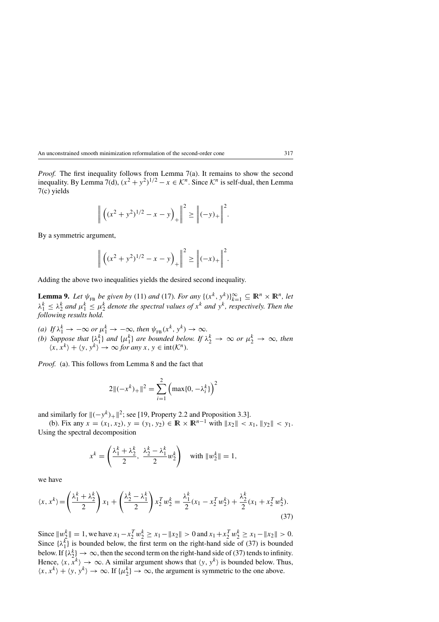*Proof.* The first inequality follows from Lemma 7(a). It remains to show the second inequality. By Lemma 7(d),  $(x^2 + y^2)^{1/2} - x \in \mathcal{K}^n$ . Since  $\mathcal{K}^n$  is self-dual, then Lemma 7(c) yields

$$
\|\left((x^2+y^2)^{1/2}-x-y\right)_+\|^2 \geq \left\|(-y)_+\right\|^2.
$$

By a symmetric argument,

$$
\|\left((x^2+y^2)^{1/2}-x-y\right)_+\|^2 \geq \left\|(-x)_+\right\|^2.
$$

Adding the above two inequalities yields the desired second inequality.

**Lemma 9.** *Let*  $\psi_{FB}$  *be given by* (11) *and* (17)*. For any*  $\{(x^k, y^k)\}_{k=1}^{\infty} \subseteq \mathbb{R}^n \times \mathbb{R}^n$ *, let*  $\lambda_1^k \leq \lambda_2^k$  and  $\mu_1^k \leq \mu_2^k$  denote the spectral values of  $x^k$  and  $y^k$ , respectively. Then the *following results hold.*

- (a) If  $\lambda_1^k \to -\infty$  or  $\mu_1^k \to -\infty$ , then  $\psi_{FB}(x^k, y^k) \to \infty$ .
- *(b)* Suppose that  $\{\lambda_1^k\}$  and  $\{\mu_1^k\}$  are bounded below. If  $\lambda_2^k \to \infty$  or  $\mu_2^k \to \infty$ , then  $\langle x, x^k \rangle + \langle y, y^k \rangle \rightarrow \infty$  *for any*  $x, y \in \text{int}(\mathcal{K}^n)$ *.*

*Proof.* (a). This follows from Lemma 8 and the fact that

$$
2||(-x^{k})_{+}||^{2} = \sum_{i=1}^{2} \left(\max\{0, -\lambda_{i}^{k}\}\right)^{2}
$$

and similarly for  $\|(-y^k)_+\|^2$ ; see [19, Property 2.2 and Proposition 3.3].

(b). Fix any  $x = (x_1, x_2), y = (y_1, y_2) \in \mathbb{R} \times \mathbb{R}^{n-1}$  with  $||x_2|| < x_1, ||y_2|| < y_1$ . Using the spectral decomposition

$$
x^k = \left(\frac{\lambda_1^k + \lambda_2^k}{2}, \ \frac{\lambda_2^k - \lambda_1^k}{2} w_2^k\right) \quad \text{with } \|w_2^k\| = 1,
$$

we have

$$
\langle x, x^k \rangle = \left(\frac{\lambda_1^k + \lambda_2^k}{2}\right) x_1 + \left(\frac{\lambda_2^k - \lambda_1^k}{2}\right) x_2^T w_2^k = \frac{\lambda_1^k}{2} (x_1 - x_2^T w_2^k) + \frac{\lambda_2^k}{2} (x_1 + x_2^T w_2^k).
$$
\n(37)

Since  $||w_2^k|| = 1$ , we have  $x_1 - x_2^T w_2^k \ge x_1 - ||x_2|| > 0$  and  $x_1 + x_2^T w_2^k \ge x_1 - ||x_2|| > 0$ . Since  $\{\lambda_1^k\}$  is bounded below, the first term on the right-hand side of (37) is bounded below. If  $\{\lambda_2^k\} \to \infty$ , then the second term on the right-hand side of (37) tends to infinity. Hence,  $\langle x, \tilde{x}^k \rangle \to \infty$ . A similar argument shows that  $\langle y, y^k \rangle$  is bounded below. Thus,  $\langle x, x^k \rangle + \langle y, y^k \rangle \rightarrow \infty$ . If  $\{\mu_2^k\} \rightarrow \infty$ , the argument is symmetric to the one above.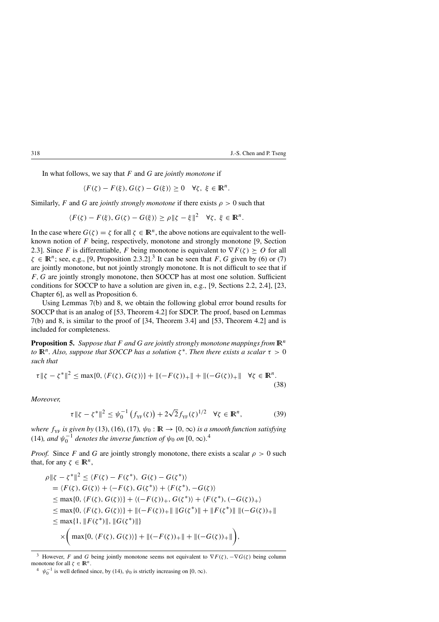In what follows, we say that F and G are *jointly monotone* if

$$
\langle F(\zeta) - F(\xi), G(\zeta) - G(\xi) \rangle \ge 0 \quad \forall \zeta, \ \xi \in \mathbb{R}^n.
$$

Similarly, F and G are *jointly strongly monotone* if there exists  $\rho > 0$  such that

$$
\langle F(\zeta) - F(\xi), G(\zeta) - G(\xi) \rangle \ge \rho \|\zeta - \xi\|^2 \quad \forall \zeta, \ \xi \in \mathbb{R}^n.
$$

In the case where  $G(\zeta) = \zeta$  for all  $\zeta \in \mathbb{R}^n$ , the above notions are equivalent to the wellknown notion of F being, respectively, monotone and strongly monotone [9, Section 2.3]. Since F is differentiable, F being monotone is equivalent to  $\nabla F(\zeta) \succeq O$  for all  $\zeta \in \mathbb{R}^n$ ; see, e.g., [9, Proposition 2.3.2].<sup>3</sup> It can be seen that F, G given by (6) or (7) are jointly monotone, but not jointly strongly monotone. It is not difficult to see that if F,G are jointly strongly monotone, then SOCCP has at most one solution. Sufficient conditions for SOCCP to have a solution are given in, e.g., [9, Sections 2.2, 2.4], [23, Chapter 6], as well as Proposition 6.

Using Lemmas 7(b) and 8, we obtain the following global error bound results for SOCCP that is an analog of [53, Theorem 4.2] for SDCP. The proof, based on Lemmas 7(b) and 8, is similar to the proof of [34, Theorem 3.4] and [53, Theorem 4.2] and is included for completeness.

**Proposition 5.** *Suppose that* F *and* G *are jointly strongly monotone mappings from*  $\mathbb{R}^n$ *to*  $\mathbb{R}^n$ *. Also, suppose that SOCCP has a solution*  $\zeta^*$ *. Then there exists a scalar*  $\tau > 0$ *such that*

$$
\tau \|\zeta - \zeta^*\|^2 \le \max\{0, \langle F(\zeta), G(\zeta) \rangle\} + \|(-F(\zeta))_+\| + \|(-G(\zeta))_+\| \quad \forall \zeta \in \mathbb{R}^n. \tag{38}
$$

*Moreover,*

$$
\tau \|\zeta - \zeta^*\|^2 \leq \psi_0^{-1} \left( f_{\rm YF}(\zeta) \right) + 2\sqrt{2} f_{\rm YF}(\zeta)^{1/2} \quad \forall \zeta \in \mathbb{R}^n, \tag{39}
$$

*where*  $f_{YF}$  *is given by* (13), (16), (17),  $\psi_0 : \mathbb{R} \to [0, \infty)$  *is a smooth function satisfying* (14), and  $\psi_0^{-1}$  denotes the inverse function of  $\psi_0$  on  $[0, \infty)$ .<sup>4</sup>

*Proof.* Since F and G are jointly strongly monotone, there exists a scalar  $\rho > 0$  such that, for any  $\zeta \in \mathbb{R}^n$ ,

$$
\rho \| \zeta - \zeta^* \|^2 \le \langle F(\zeta) - F(\zeta^*), G(\zeta) - G(\zeta^*) \rangle
$$
  
\n
$$
= \langle F(\zeta), G(\zeta) \rangle + \langle -F(\zeta), G(\zeta^*) \rangle + \langle F(\zeta^*), -G(\zeta) \rangle
$$
  
\n
$$
\le \max\{0, \langle F(\zeta), G(\zeta) \rangle\} + \langle (-F(\zeta))_+, G(\zeta^*) \rangle + \langle F(\zeta^*), (-G(\zeta))_+ \rangle
$$
  
\n
$$
\le \max\{0, \langle F(\zeta), G(\zeta) \rangle\} + \|(-F(\zeta))_+ \| \|G(\zeta^*) \| + \|F(\zeta^*) \| \|(-G(\zeta))_+ \|
$$
  
\n
$$
\le \max\{1, \|F(\zeta^*)\|, \|G(\zeta^*)\| \}
$$
  
\n
$$
\times \Big( \max\{0, \langle F(\zeta), G(\zeta) \rangle\} + \|(-F(\zeta))_+ \| + \|(-G(\zeta))_+ \| \Big),
$$

<sup>&</sup>lt;sup>3</sup> However, F and G being jointly monotone seems not equivalent to  $\nabla F(\zeta)$ ,  $\nabla G(\zeta)$  being column monotone for all  $\zeta \in \mathbb{R}^n$ .

<sup>&</sup>lt;sup>4</sup>  $\psi_0^{-1}$  is well defined since, by (14),  $\psi_0$  is strictly increasing on [0,  $\infty$ ).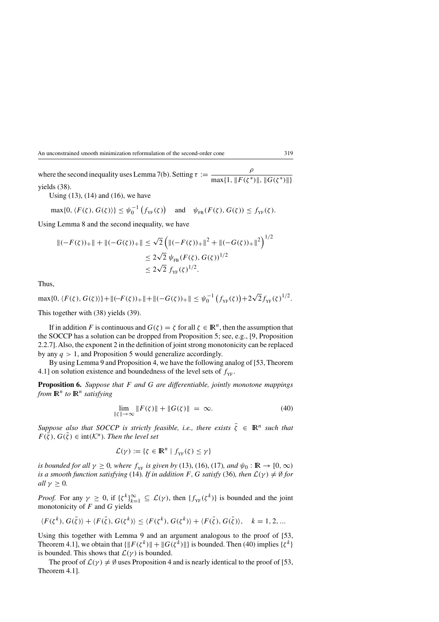where the second inequality uses Lemma 7(b). Setting  $\tau := \frac{\rho}{\max\{1, \|F(\zeta^*)\|, \|G(\zeta^*)\| \}}$ yields (38).

Using (13), (14) and (16), we have

 $\max\{0, \langle F(\zeta), G(\zeta)\rangle\} \leq \psi_0^{-1}(f_{\text{YF}}(\zeta))$  and  $\psi_{\text{FB}}(F(\zeta), G(\zeta)) \leq f_{\text{YF}}(\zeta)$ .

Using Lemma 8 and the second inequality, we have

$$
\begin{aligned} ||(-F(\zeta))_+|| + ||(-G(\zeta))_+|| &\le \sqrt{2} \left( ||(-F(\zeta))_+||^2 + ||(-G(\zeta))_+||^2 \right)^{1/2} \\ &\le 2\sqrt{2} \ \psi_{FB}(F(\zeta), G(\zeta))^{1/2} \\ &\le 2\sqrt{2} \ f_{\rm YF}(\zeta)^{1/2} .\end{aligned}
$$

Thus,

$$
\max\{0, \langle F(\zeta), G(\zeta)\rangle\} + \|(-F(\zeta))_+\| + \|(-G(\zeta))_+\| \leq \psi_0^{-1}\left(f_{YF}(\zeta)\right) + 2\sqrt{2}f_{YF}(\zeta)^{1/2}.
$$

This together with (38) yields (39).

If in addition F is continuous and  $G(\zeta) = \zeta$  for all  $\zeta \in \mathbb{R}^n$ , then the assumption that the SOCCP has a solution can be dropped from Proposition 5; see, e.g., [9, Proposition 2.2.7]. Also, the exponent 2 in the definition of joint strong monotonicity can be replaced by any  $q > 1$ , and Proposition 5 would generalize accordingly.

By using Lemma 9 and Proposition 4, we have the following analog of [53, Theorem 4.1] on solution existence and boundedness of the level sets of  $f_{YF}$ .

**Proposition 6.** *Suppose that* F *and* G *are differentiable, jointly monotone mappings from*  $\mathbb{R}^n$  *to*  $\mathbb{R}^n$  *satisfying* 

$$
\lim_{\|\zeta\| \to \infty} \|F(\zeta)\| + \|G(\zeta)\| = \infty.
$$
 (40)

*Suppose also that SOCCP is strictly feasible, i.e., there exists*  $\bar{\zeta} \in \mathbb{R}^n$  *such that*  $F(\zeta), G(\zeta) \in \text{int}(\mathcal{K}^n)$ . Then the level set

$$
\mathcal{L}(\gamma) := \{ \zeta \in \mathbb{R}^n \mid f_{\mathrm{YF}}(\zeta) \le \gamma \}
$$

*is bounded for all*  $\gamma \ge 0$ *, where*  $f_{YF}$  *is given by* (13), (16), (17)*, and*  $\psi_0 : \mathbb{R} \to [0, \infty)$ *is a smooth function satisfying* (14)*. If in addition* F, G *satisfy* (36)*, then*  $\mathcal{L}(\gamma) \neq \emptyset$  *for all*  $\gamma \geq 0$ *.* 

*Proof.* For any  $\gamma \geq 0$ , if  $\{\zeta^k\}_{k=1}^{\infty} \subseteq \mathcal{L}(\gamma)$ , then  $\{f_{YF}(\zeta^k)\}\)$  is bounded and the joint monotonicity of  $F$  and  $G$  yields

$$
\langle F(\zeta^k), G(\bar{\zeta})\rangle + \langle F(\bar{\zeta}), G(\zeta^k)\rangle \le \langle F(\zeta^k), G(\zeta^k)\rangle + \langle F(\bar{\zeta}), G(\bar{\zeta})\rangle, \quad k = 1, 2, \dots
$$

Using this together with Lemma 9 and an argument analogous to the proof of [53, Theorem 4.1], we obtain that  $\{\|F(\zeta^k)\|+\|G(\zeta^k)\|\}$  is bounded. Then (40) implies  $\{\zeta^k\}$ is bounded. This shows that  $\mathcal{L}(\gamma)$  is bounded.

The proof of  $\mathcal{L}(\gamma) \neq \emptyset$  uses Proposition 4 and is nearly identical to the proof of [53, Theorem 4.1].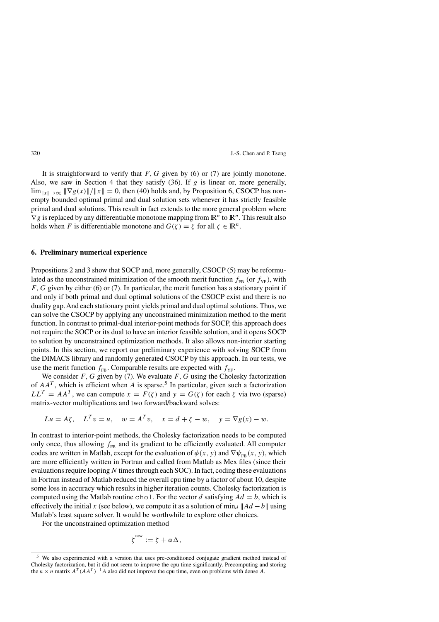It is straighforward to verify that  $F, G$  given by (6) or (7) are jointly monotone. Also, we saw in Section 4 that they satisfy  $(36)$ . If g is linear or, more generally,  $\lim_{\|x\| \to \infty} \|\nabla g(x)\|/\|x\| = 0$ , then (40) holds and, by Proposition 6, CSOCP has nonempty bounded optimal primal and dual solution sets whenever it has strictly feasible primal and dual solutions. This result in fact extends to the more general problem where  $\nabla g$  is replaced by any differentiable monotone mapping from  $\mathbb{R}^n$  to  $\mathbb{R}^n$ . This result also holds when F is differentiable monotone and  $G(\zeta) = \zeta$  for all  $\zeta \in \mathbb{R}^n$ .

## **6. Preliminary numerical experience**

Propositions 2 and 3 show that SOCP and, more generally, CSOCP (5) may be reformulated as the unconstrained minimization of the smooth merit function  $f_{FB}$  (or  $f_{YF}$ ), with  $F, G$  given by either (6) or (7). In particular, the merit function has a stationary point if and only if both primal and dual optimal solutions of the CSOCP exist and there is no duality gap.And each stationary point yields primal and dual optimal solutions. Thus, we can solve the CSOCP by applying any unconstrained minimization method to the merit function. In contrast to primal-dual interior-point methods for SOCP, this approach does not require the SOCP or its dual to have an interior feasible solution, and it opens SOCP to solution by unconstrained optimization methods. It also allows non-interior starting points. In this section, we report our preliminary experience with solving SOCP from the DIMACS library and randomly generated CSOCP by this approach. In our tests, we use the merit function  $f_{FB}$ . Comparable results are expected with  $f_{VF}$ .

We consider  $F, G$  given by (7). We evaluate  $F, G$  using the Cholesky factorization of  $AA<sup>T</sup>$ , which is efficient when A is sparse.<sup>5</sup> In particular, given such a factorization  $LL^T = AA^T$ , we can compute  $x = F(\zeta)$  and  $y = G(\zeta)$  for each  $\zeta$  via two (sparse) matrix-vector multiplications and two forward/backward solves:

$$
Lu = A\zeta
$$
,  $L^T v = u$ ,  $w = A^T v$ ,  $x = d + \zeta - w$ ,  $y = \nabla g(x) - w$ .

In contrast to interior-point methods, the Cholesky factorization needs to be computed only once, thus allowing  $f_{FR}$  and its gradient to be efficiently evaluated. All computer codes are written in Matlab, except for the evaluation of  $\phi(x, y)$  and  $\nabla \psi_{FB}(x, y)$ , which are more efficiently written in Fortran and called from Matlab as Mex files (since their evaluations require looping  $N$  times through each SOC). In fact, coding these evaluations in Fortran instead of Matlab reduced the overall cpu time by a factor of about 10, despite some loss in accuracy which results in higher iteration counts. Cholesky factorization is computed using the Matlab routine chol. For the vector d satisfying  $Ad = b$ , which is effectively the initial x (see below), we compute it as a solution of  $\min_d ||Ad - b||$  using Matlab's least square solver. It would be worthwhile to explore other choices.

For the unconstrained optimization method

$$
\zeta^{\text{new}} := \zeta + \alpha \Delta,
$$

<sup>5</sup> We also experimented with a version that uses pre-conditioned conjugate gradient method instead of Cholesky factorization, but it did not seem to improve the cpu time significantly. Precomputing and storing the  $n \times n$  matrix  $A^T (AA^T)^{-1}A$  also did not improve the cpu time, even on problems with dense A.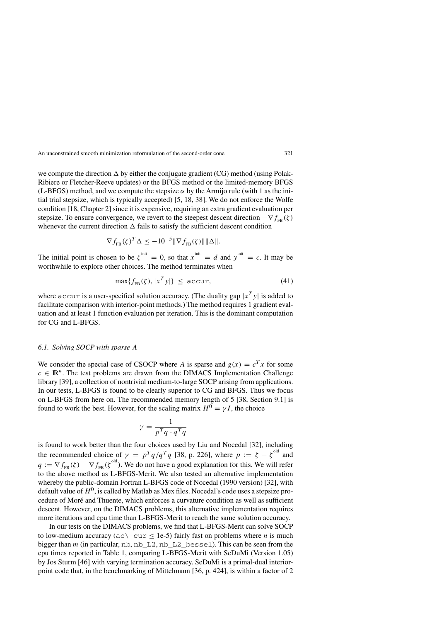we compute the direction  $\Delta$  by either the conjugate gradient (CG) method (using Polak-Ribiere or Fletcher-Reeve updates) or the BFGS method or the limited-memory BFGS (L-BFGS) method, and we compute the stepsize  $\alpha$  by the Armijo rule (with 1 as the initial trial stepsize, which is typically accepted) [5, 18, 38]. We do not enforce the Wolfe condition [18, Chapter 2] since it is expensive, requiring an extra gradient evaluation per stepsize. To ensure convergence, we revert to the steepest descent direction  $-\nabla f_{\text{FB}}(\zeta)$ whenever the current direction  $\Delta$  fails to satisfy the sufficient descent condition

$$
\nabla f_{\text{FB}}(\zeta)^T \Delta \leq -10^{-5} \|\nabla f_{\text{FB}}(\zeta)\| \|\Delta\|.
$$

The initial point is chosen to be  $\zeta^{init} = 0$ , so that  $x^{init} = d$  and  $y^{init} = c$ . It may be worthwhile to explore other choices. The method terminates when

$$
\max\{f_{FB}(\zeta), |x^T y|\} \le \text{accuracy},\tag{41}
$$

where accur is a user-specified solution accuracy. (The duality gap  $|x^T y|$  is added to facilitate comparison with interior-point methods.) The method requires 1 gradient evaluation and at least 1 function evaluation per iteration. This is the dominant computation for CG and L-BFGS.

# *6.1. Solving SOCP with sparse* A

We consider the special case of CSOCP where A is sparse and  $g(x) = c<sup>T</sup> x$  for some  $c \in \mathbb{R}^n$ . The test problems are drawn from the DIMACS Implementation Challenge library [39], a collection of nontrivial medium-to-large SOCP arising from applications. In our tests, L-BFGS is found to be clearly superior to CG and BFGS. Thus we focus on L-BFGS from here on. The recommended memory length of 5 [38, Section 9.1] is found to work the best. However, for the scaling matrix  $H^0 = \gamma I$ , the choice

$$
\gamma = \frac{1}{p^T q \cdot q^T q}
$$

is found to work better than the four choices used by Liu and Nocedal [32], including the recommended choice of  $\gamma = p^T q / q^T q$  [38, p. 226], where  $p := \zeta - \zeta^{\text{old}}$  and  $q := \nabla f_{\text{FB}}(\zeta) - \nabla f_{\text{FB}}(\zeta^{\text{old}})$ . We do not have a good explanation for this. We will refer to the above method as L-BFGS-Merit. We also tested an alternative implementation whereby the public-domain Fortran L-BFGS code of Nocedal (1990 version) [32], with default value of  $H^0$ , is called by Matlab as Mex files. Nocedal's code uses a stepsize procedure of Moré and Thuente, which enforces a curvature condition as well as sufficient descent. However, on the DIMACS problems, this alternative implementation requires more iterations and cpu time than L-BFGS-Merit to reach the same solution accuracy.

In our tests on the DIMACS problems, we find that L-BFGS-Merit can solve SOCP to low-medium accuracy ( $ac \text{--cur} \leq 1e-5$ ) fairly fast on problems where *n* is much bigger than m (in particular, nb, nb\_L2, nb\_L2\_bessel). This can be seen from the cpu times reported in Table 1, comparing L-BFGS-Merit with SeDuMi (Version 1.05) by Jos Sturm [46] with varying termination accuracy. SeDuMi is a primal-dual interiorpoint code that, in the benchmarking of Mittelmann [36, p. 424], is within a factor of 2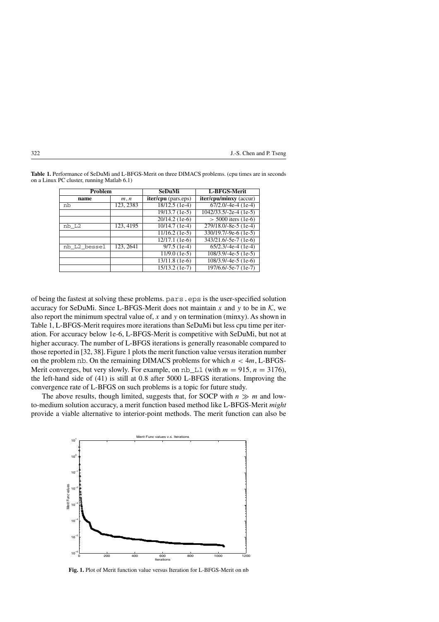| Problem      |           | SeDuMi                      | L-BFGS-Merit                              |  |
|--------------|-----------|-----------------------------|-------------------------------------------|--|
| name         | m, n      | <b>iter/cpu</b> (pars.eps)  | iter/cpu/minxy (accur)                    |  |
| nb           | 123, 2383 | 18/12.5 (1e-4)              | $67/2.0/-4e-4(1e-4)$                      |  |
|              |           | 19/13.7 (1e-5)              | $\overline{1042/33.5/-2e^{-4} (1e^{-5})}$ |  |
|              |           | 20/14.2 (1e-6)              | $> 5000$ iters (1e-6)                     |  |
| nb L2        | 123, 4195 | $10/14.7$ (1e-4)            | $279/18.0/-8e-5(1e-4)$                    |  |
|              |           | $11/16.2$ (1e-5)            | $330/19.7/-9e-6$ (1e-5)                   |  |
|              |           | $\overline{12/17.1}$ (1e-6) | $343/21.6/-5e-7(1e-6)$                    |  |
| nb_L2_bessel | 123, 2641 | $9/7.5$ (1e-4)              | $65/2.3/-4e-4(1e-4)$                      |  |
|              |           | $11/9.0$ (1e-5)             | $108/3.9/-4e-5(1e-5)$                     |  |
|              |           | 13/11.8 (1e-6)              | $108/3.9/-4e-5(1e-6)$                     |  |
|              |           | $15/13.2$ (1e-7)            | 197/6.6/-5e-7 (1e-7)                      |  |

**Table 1.** Performance of SeDuMi and L-BFGS-Merit on three DIMACS problems. (cpu times are in seconds on a Linux PC cluster, running Matlab 6.1)

of being the fastest at solving these problems. pars.eps is the user-specified solution accuracy for SeDuMi. Since L-BFGS-Merit does not maintain x and y to be in  $K$ , we also report the minimum spectral value of,  $x$  and  $y$  on termination (minxy). As shown in Table 1, L-BFGS-Merit requires more iterations than SeDuMi but less cpu time per iteration. For accuracy below 1e-6, L-BFGS-Merit is competitive with SeDuMi, but not at higher accuracy. The number of L-BFGS iterations is generally reasonable compared to those reported in [32, 38]. Figure 1 plots the merit function value versus iteration number on the problem nb. On the remaining DIMACS problems for which  $n < 4m$ , L-BFGS-Merit converges, but very slowly. For example, on  $nb_lL1$  (with  $m = 915$ ,  $n = 3176$ ), the left-hand side of (41) is still at 0.8 after 5000 L-BFGS iterations. Improving the convergence rate of L-BFGS on such problems is a topic for future study.

The above results, though limited, suggests that, for SOCP with  $n \gg m$  and lowto-medium solution accuracy, a merit function based method like L-BFGS-Merit *might* provide a viable alternative to interior-point methods. The merit function can also be



**Fig. 1.** Plot of Merit function value versus Iteration for L-BFGS-Merit on nb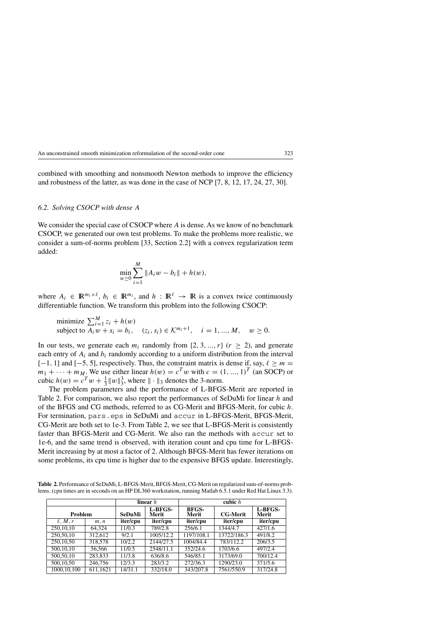combined with smoothing and nonsmooth Newton methods to improve the efficiency and robustness of the latter, as was done in the case of NCP [7, 8, 12, 17, 24, 27, 30].

#### *6.2. Solving CSOCP with dense* A

We consider the special case of CSOCP where A is dense. As we know of no benchmark CSOCP, we generated our own test problems. To make the problems more realistic, we consider a sum-of-norms problem [33, Section 2.2] with a convex regularization term added:

$$
\min_{w \ge 0} \sum_{i=1}^{M} ||A_i w - b_i|| + h(w),
$$

where  $A_i \in \mathbb{R}^{m_i \times \ell}$ ,  $b_i \in \mathbb{R}^{m_i}$ , and  $h : \mathbb{R}^{\ell} \to \mathbb{R}$  is a convex twice continuously differentiable function. We transform this problem into the following CSOCP:

minimize 
$$
\sum_{i=1}^{M} z_i + h(w)
$$
  
subject to  $A_i w + s_i = b_i$ ,  $(z_i, s_i) \in \mathcal{K}^{m_i+1}$ ,  $i = 1, ..., M$ ,  $w \ge 0$ .

In our tests, we generate each  $m_i$  randomly from {2, 3, ...,  $r$ } ( $r \ge 2$ ), and generate each entry of  $A_i$  and  $b_i$  randomly according to a uniform distribution from the interval [-1, 1] and [-5, 5], respectively. Thus, the constraint matrix is dense if, say,  $\ell \ge m =$  $m_1 + \cdots + m_M$ . We use either linear  $h(w) = c^T w$  with  $c = (1, ..., 1)^T$  (an SOCP) or cubic  $h(w) = c^T w + \frac{1}{3} ||w||_3^3$ , where  $|| \cdot ||_3$  denotes the 3-norm.

The problem parameters and the performance of L-BFGS-Merit are reported in Table 2. For comparison, we also report the performances of SeDuMi for linear h and of the BFGS and CG methods, referred to as CG-Merit and BFGS-Merit, for cubic h. For termination, pars.eps in SeDuMi and accur in L-BFGS-Merit, BFGS-Merit, CG-Merit are both set to 1e-3. From Table 2, we see that L-BFGS-Merit is consistently faster than BFGS-Merit and CG-Merit. We also ran the methods with accur set to 1e-6, and the same trend is observed, with iteration count and cpu time for L-BFGS-Merit increasing by at most a factor of 2. Although BFGS-Merit has fewer iterations on some problems, its cpu time is higher due to the expensive BFGS update. Interestingly,

|               |          | linear $h$ |                  | cubic $h$             |                 |                  |
|---------------|----------|------------|------------------|-----------------------|-----------------|------------------|
| Problem       |          | SeDuMi     | L-BFGS-<br>Merit | <b>BFGS-</b><br>Merit | <b>CG-Merit</b> | L-BFGS-<br>Merit |
| $\ell, M, r$  | m, n     | iter/cpu   | iter/cpu         | iter/cpu              | iter/cpu        | iter/cpu         |
| 250,10,10     | 64.324   | 11/0.3     | 789/2.8          | 256/6.1               | 1344/4.7        | 427/1.6          |
| 250,50,10     | 312.612  | 9/2.1      | 1005/12.2        | 1197/108.1            | 13722/186.3     | 491/8.2          |
| 250,10,50     | 318,578  | 10/2.2     | 2144/27.5        | 1004/84.4             | 783/112.2       | 206/3.5          |
| 500,10,10     | 56.566   | 11/0.5     | 2548/11.1        | 352/24.6              | 1703/6.6        | 497/2.4          |
| 500,50,10     | 283,833  | 11/3.8     | 636/8.6          | 546/85.1              | 3173/69.0       | 700/12.4         |
| 500,10,50     | 246,756  | 12/3.3     | 283/3.2          | 272/36.3              | 1290/23.0       | 371/5.6          |
| 1000, 10, 100 | 611,1621 | 14/31.1    | 332/18.0         | 343/207.8             | 7561/550.9      | 317/24.8         |

**Table 2.** Performance of SeDuMi, L-BFGS-Merit, BFGS-Merit, CG-Merit on regularized sum-of-norms problems. (cpu times are in seconds on an HP DL360 workstation, running Matlab 6.5.1 under Red Hat Linux 3.3).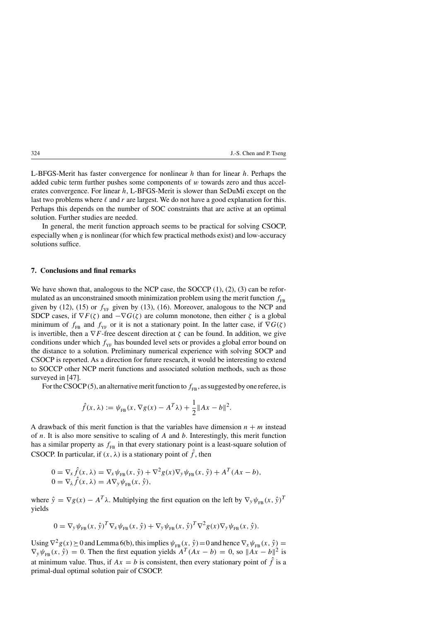L-BFGS-Merit has faster convergence for nonlinear  $h$  than for linear  $h$ . Perhaps the added cubic term further pushes some components of  $w$  towards zero and thus accelerates convergence. For linear h, L-BFGS-Merit is slower than SeDuMi except on the last two problems where  $\ell$  and r are largest. We do not have a good explanation for this. Perhaps this depends on the number of SOC constraints that are active at an optimal solution. Further studies are needed.

In general, the merit function approach seems to be practical for solving CSOCP, especially when  $g$  is nonlinear (for which few practical methods exist) and low-accuracy solutions suffice.

#### **7. Conclusions and final remarks**

We have shown that, analogous to the NCP case, the SOCCP  $(1)$ ,  $(2)$ ,  $(3)$  can be reformulated as an unconstrained smooth minimization problem using the merit function  $f_{FB}$ given by (12), (15) or  $f_{YF}$  given by (13), (16). Moreover, analogous to the NCP and SDCP cases, if  $\nabla F(\zeta)$  and  $-\nabla G(\zeta)$  are column monotone, then either  $\zeta$  is a global minimum of  $f_{FB}$  and  $f_{YF}$  or it is not a stationary point. In the latter case, if  $\nabla G(\zeta)$ is invertible, then a  $\nabla F$ -free descent direction at  $\zeta$  can be found. In addition, we give conditions under which  $f_{YF}$  has bounded level sets or provides a global error bound on the distance to a solution. Preliminary numerical experience with solving SOCP and CSOCP is reported. As a direction for future research, it would be interesting to extend to SOCCP other NCP merit functions and associated solution methods, such as those surveyed in [47].

For the CSOCP (5), an alternative merit function to  $f_{FB}$ , as suggested by one referee, is

$$
\hat{f}(x,\lambda) := \psi_{FB}(x,\nabla g(x) - A^T \lambda) + \frac{1}{2} ||Ax - b||^2.
$$

A drawback of this merit function is that the variables have dimension  $n + m$  instead of  $n$ . It is also more sensitive to scaling of  $A$  and  $b$ . Interestingly, this merit function has a similar property as  $f_{FB}$  in that every stationary point is a least-square solution of CSOCP. In particular, if  $(x, \lambda)$  is a stationary point of  $\hat{f}$ , then

$$
0 = \nabla_{x} \hat{f}(x, \lambda) = \nabla_{x} \psi_{\text{FB}}(x, \hat{y}) + \nabla^{2} g(x) \nabla_{y} \psi_{\text{FB}}(x, \hat{y}) + A^{T} (Ax - b),
$$
  
\n
$$
0 = \nabla_{\lambda} \hat{f}(x, \lambda) = A \nabla_{y} \psi_{\text{FB}}(x, \hat{y}),
$$

where  $\hat{y} = \nabla g(x) - A^T \lambda$ . Multiplying the first equation on the left by  $\nabla_y \psi_{FB}(x, \hat{y})^T$ yields

$$
0 = \nabla_{\mathbf{y}} \psi_{\text{FB}}(x, \hat{\mathbf{y}})^T \nabla_{x} \psi_{\text{FB}}(x, \hat{\mathbf{y}}) + \nabla_{\mathbf{y}} \psi_{\text{FB}}(x, \hat{\mathbf{y}})^T \nabla^2 g(x) \nabla_{\mathbf{y}} \psi_{\text{FB}}(x, \hat{\mathbf{y}}).
$$

Using  $\nabla^2 g(x)\geq0$  and Lemma 6(b), this implies  $\psi_{FB}(x, \hat{y})=0$  and hence  $\nabla_x\psi_{FB}(x, \hat{y})=0$  $\nabla_y \psi_{FB}(x, \hat{y}) = 0$ . Then the first equation yields  $A^T(Ax - b) = 0$ , so  $||Ax - b||^2$  is at minimum value. Thus, if  $Ax = b$  is consistent, then every stationary point of  $\hat{f}$  is a primal-dual optimal solution pair of CSOCP.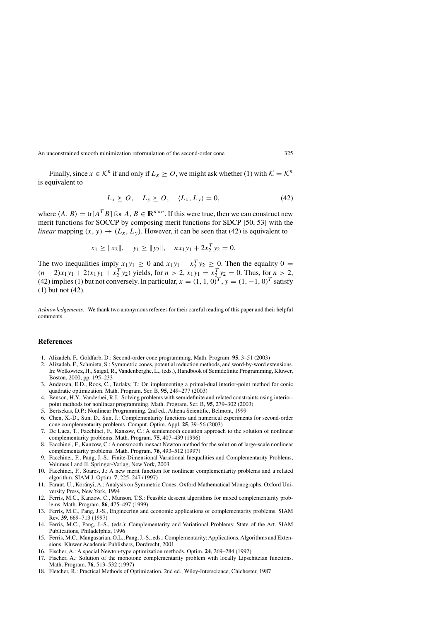Finally, since  $x \in \mathcal{K}^n$  if and only if  $L_x \succeq O$ , we might ask whether (1) with  $\mathcal{K} = \mathcal{K}^n$ is equivalent to

$$
L_x \geq 0, \quad L_y \geq 0, \quad \langle L_x, L_y \rangle = 0,\tag{42}
$$

where  $\langle A, B \rangle = \text{tr}[A^T B]$  for  $A, B \in \mathbb{R}^{n \times n}$ . If this were true, then we can construct new merit functions for SOCCP by composing merit functions for SDCP [50, 53] with the *linear* mapping  $(x, y) \mapsto (L_x, L_y)$ . However, it can be seen that (42) is equivalent to

$$
x_1 \ge ||x_2||
$$
,  $y_1 \ge ||y_2||$ ,  $nx_1y_1 + 2x_2^T y_2 = 0$ .

The two inequalities imply  $x_1y_1 \ge 0$  and  $x_1y_1 + x_2^T y_2 \ge 0$ . Then the equality  $0 =$  $(n-2)x_1y_1 + 2(x_1y_1 + x_2^T y_2)$  yields, for  $n > 2$ ,  $x_1y_1 = x_2^T y_2 = 0$ . Thus, for  $n > 2$ , (42) implies (1) but not conversely. In particular,  $x = (1, 1, 0)^T$ ,  $y = (1, -1, 0)^T$  satisfy (1) but not (42).

*Acknowledgements.* We thank two anonymous referees for their careful reading of this paper and their helpful comments.

#### **References**

- 1. Alizadeh, F., Goldfarb, D.: Second-order cone programming. Math. Program. **95**, 3–51 (2003)
- 2. Alizadeh, F., Schmieta, S.: Symmetric cones, potential reduction methods, and word-by-word extensions. In: Wolkowicz, H., Saigal, R.,Vandenberghe, L., (eds.), Handbook of Semidefinite Programming, Kluwer, Boston, 2000, pp. 195–233
- 3. Andersen, E.D., Roos, C., Terlaky, T.: On implementing a primal-dual interior-point method for conic quadratic optimization. Math. Program. Ser. B, **95**, 249–277 (2003)
- 4. Benson, H.Y., Vanderbei, R.J.: Solving problems with semidefinite and related constraints using interiorpoint methods for nonlinear programming. Math. Program. Ser. B, **95**, 279–302 (2003)
- 5. Bertsekas, D.P.: Nonlinear Programming. 2nd ed., Athena Scientific, Belmont, 1999
- 6. Chen, X.-D., Sun, D., Sun, J.: Complementarity functions and numerical experiments for second-order cone complementarity problems. Comput. Optim. Appl. **25**, 39–56 (2003)
- 7. De Luca, T., Facchinei, F., Kanzow, C.: A semismooth equation approach to the solution of nonlinear complementarity problems. Math. Program. **75**, 407–439 (1996)
- 8. Facchinei, F., Kanzow, C.: A nonsmooth inexact Newton method for the solution of large-scale nonlinear complementarity problems. Math. Program. **76**, 493–512 (1997)
- 9. Facchinei, F., Pang, J.-S.: Finite-Dimensional Variational Inequalities and Complementarity Problems, Volumes I and II. Springer-Verlag, New York, 2003
- 10. Facchinei, F., Soares, J.: A new merit function for nonlinear complementarity problems and a related algorithm. SIAM J. Optim. **7**, 225–247 (1997)
- 11. Faraut, U., Kor´anyi, A.: Analysis on Symmetric Cones. Oxford Mathematical Monographs, Oxford University Press, New York, 1994
- 12. Ferris, M.C., Kanzow, C., Munson, T.S.: Feasible descent algorithms for mixed complementarity problems. Math. Program. **86**, 475–497 (1999)
- 13. Ferris, M.C., Pang, J.-S., Engineering and economic applications of complementarity problems. SIAM Rev. **39**, 669–713 (1997)
- 14. Ferris, M.C., Pang, J.-S., (eds.): Complementarity and Variational Problems: State of the Art. SIAM Publications, Philadelphia, 1996
- 15. Ferris, M.C., Mangasarian, O.L., Pang, J.-S., eds.: Complementarity: Applications, Algorithms and Extensions. Kluwer Academic Publishers, Dordrecht, 2001
- 16. Fischer, A.: A special Newton-type optimization methods. Optim. **24**, 269–284 (1992)
- 17. Fischer, A.: Solution of the monotone complementarity problem with locally Lipschitzian functions. Math. Program. **76**, 513–532 (1997)
- 18. Fletcher, R.: Practical Methods of Optimization. 2nd ed., Wiley-Interscience, Chichester, 1987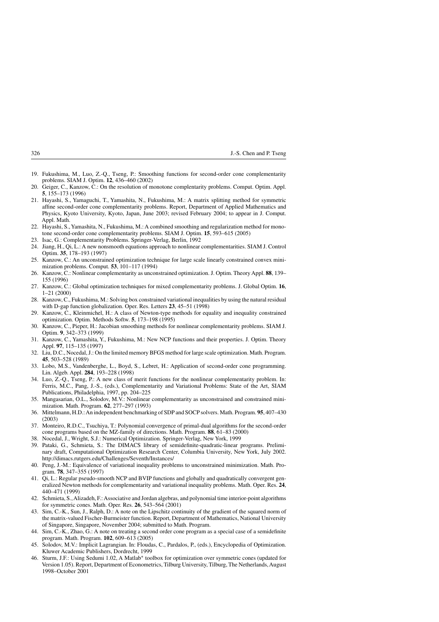- 19. Fukushima, M., Luo, Z.-Q., Tseng, P.: Smoothing functions for second-order cone complementarity problems. SIAM J. Optim. **12**, 436–460 (2002)
- 20. Geiger, C., Kanzow, C.: On the resolution of monotone complentarity problems. Comput. Optim. Appl. **5**, 155–173 (1996)
- 21. Hayashi, S., Yamaguchi, T., Yamashita, N., Fukushima, M.: A matrix splitting method for symmetric affine second-order cone complementarity problems. Report, Department of Applied Mathematics and Physics, Kyoto University, Kyoto, Japan, June 2003; revised February 2004; to appear in J. Comput. Appl. Math.
- 22. Hayashi, S.,Yamashita, N., Fukushima, M.: A combined smoothing and regularization method for monotone second-order cone complementarity problems. SIAM J. Optim. **15**, 593–615 (2005)
- 23. Isac, G.: Complementarity Problems. Springer-Verlag, Berlin, 1992
- 24. Jiang, H., Qi, L.: A new nonsmooth equations approach to nonlinear complementarities. SIAM J. Control Optim. **35**, 178–193 (1997)
- 25. Kanzow, C.: An unconstrained optimization technique for large scale linearly constrained convex minimization problems. Comput. **53**, 101–117 (1994)
- 26. Kanzow, C.: Nonlinear complementarity as unconstrained optimization. J. Optim. Theory Appl. **88**, 139– 155 (1996)
- 27. Kanzow, C.: Global optimization techniques for mixed complementarity problems. J. Global Optim. **16**, 1–21 (2000)
- 28. Kanzow, C., Fukushima, M.: Solving box constrained variational inequalities by using the natural residual with D-gap function globalization. Oper. Res. Letters **23**, 45–51 (1998)
- 29. Kanzow, C., Kleinmichel, H.: A class of Newton-type methods for equality and inequality constrained optimization. Optim. Methods Softw. **5**, 173–198 (1995)
- 30. Kanzow, C., Pieper, H.: Jacobian smoothing methods for nonlinear complementarity problems. SIAM J. Optim. **9**, 342–373 (1999)
- 31. Kanzow, C., Yamashita, Y., Fukushima, M.: New NCP functions and their properties. J. Optim. Theory Appl. **97**, 115–135 (1997)
- 32. Liu, D.C., Nocedal, J.: On the limited memory BFGS method for large scale optimization. Math. Program. **45**, 503–528 (1989)
- 33. Lobo, M.S., Vandenberghe, L., Boyd, S., Lebret, H.: Application of second-order cone programming. Lin. Algeb. Appl. **284**, 193–228 (1998)
- 34. Luo, Z.-Q., Tseng, P.: A new class of merit functions for the nonlinear complementarity problem. In: Ferris, M.C., Pang, J.-S., (eds.), Complementarity and Variational Problems: State of the Art, SIAM Publications, Philadelphia, 1997, pp. 204–225
- 35. Mangasarian, O.L., Solodov, M.V.: Nonlinear complementarity as unconstrained and constrained minimization. Math. Program. **62**, 277–297 (1993)
- 36. Mittelmann, H.D.:An independent benchmarking of SDP and SOCP solvers. Math. Program. **95**, 407–430 (2003)
- 37. Monteiro, R.D.C., Tsuchiya, T.: Polynomial convergence of primal-dual algorithms for the second-order cone programs based on the MZ-family of directions. Math. Program. **88**, 61–83 (2000)
- 38. Nocedal, J., Wright, S.J.: Numerical Optimization. Springer-Verlag, New York, 1999
- 39. Pataki, G., Schmieta, S.: The DIMACS library of semidefinite-quadratic-linear programs. Preliminary draft, Computational Optimization Research Center, Columbia University, New York, July 2002. http://dimacs.rutgers.edu/Challenges/Seventh/Instances/
- 40. Peng, J.-M.: Equivalence of variational inequality problems to unconstrained minimization. Math. Program. **78**, 347–355 (1997)
- 41. Qi, L.: Regular pseudo-smooth NCP and BVIP functions and globally and quadratically convergent generalized Newton methods for complementarity and variational inequality problems. Math. Oper. Res. **24**, 440–471 (1999)
- 42. Schmieta, S.,Alizadeh, F.:Associative and Jordan algebras, and polynomial time interior-point algorithms for symmetric cones. Math. Oper. Res. **26**, 543–564 (2001)
- 43. Sim, C.-K., Sun, J., Ralph, D.: A note on the Lipschitz continuity of the gradient of the squared norm of the matrix-valued Fischer-Burmeister function. Report, Department of Mathematics, National University of Singapore, Singapore, November 2004; submitted to Math. Program.
- 44. Sim, C.-K., Zhao, G.: A note on treating a second order cone program as a special case of a semidefinite program. Math. Program. **102**, 609–613 (2005)
- 45. Solodov, M.V.: Implicit Lagrangian. In: Floudas, C., Pardalos, P., (eds.), Encyclopedia of Optimization. Kluwer Academic Publishers, Dordrecht, 1999
- 46. Sturm, J.F.: Using Sedumi 1.02, A Matlab<sup>∗</sup> toolbox for optimization over symmetric cones (updated for Version 1.05). Report, Department of Econometrics, Tilburg University, Tilburg, The Netherlands,August 1998–October 2001